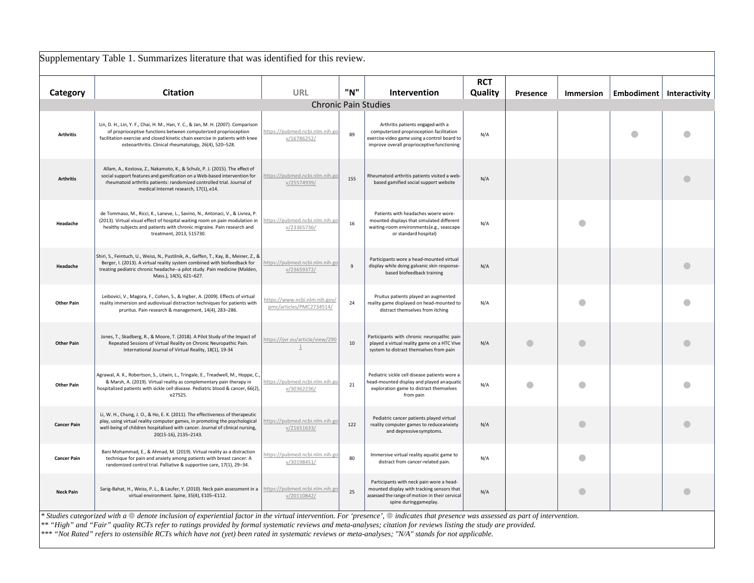|                    | Supplementary Table 1. Summarizes literature that was identified for this review.                                                                                                                                                                                                                                                                                                                                                                                                                                         |                                                           |                |                                                                                                                                                                             |                       |           |                  |                            |   |  |
|--------------------|---------------------------------------------------------------------------------------------------------------------------------------------------------------------------------------------------------------------------------------------------------------------------------------------------------------------------------------------------------------------------------------------------------------------------------------------------------------------------------------------------------------------------|-----------------------------------------------------------|----------------|-----------------------------------------------------------------------------------------------------------------------------------------------------------------------------|-----------------------|-----------|------------------|----------------------------|---|--|
| Category           | <b>Citation</b>                                                                                                                                                                                                                                                                                                                                                                                                                                                                                                           | <b>URL</b>                                                | "N"            | Intervention                                                                                                                                                                | <b>RCT</b><br>Quality | Presence  | <b>Immersion</b> | Embodiment   Interactivity |   |  |
|                    |                                                                                                                                                                                                                                                                                                                                                                                                                                                                                                                           | <b>Chronic Pain Studies</b>                               |                |                                                                                                                                                                             |                       |           |                  |                            |   |  |
| <b>Arthritis</b>   | Lin, D. H., Lin, Y. F., Chai, H. M., Han, Y. C., & Jan, M. H. (2007). Comparison<br>of proprioceptive functions between computerized proprioception<br>facilitation exercise and closed kinetic chain exercise in patients with knee<br>osteoarthritis. Clinical rheumatology, 26(4), 520-528.                                                                                                                                                                                                                            | https://pubmed.ncbi.nlm.nih.go<br>v/16786252/             | 89             | Arthritis patients engaged with a<br>computerized proprioception facilitation<br>exercise video game using a control board to<br>improve overall proprioceptive functioning | N/A                   |           |                  | $\bullet$                  |   |  |
| <b>Arthritis</b>   | Allam, A., Kostova, Z., Nakamoto, K., & Schulz, P. J. (2015). The effect of<br>social support features and gamification on a Web-based intervention for<br>rheumatoid arthritis patients: randomized controlled trial. Journal of<br>medical Internet research, 17(1), e14.                                                                                                                                                                                                                                               | nttps://pubmed.ncbi.nlm.nih.go<br>v/25574939/             | 155            | Rheumatoid arthritis patients visited a web-<br>based gamified social support website                                                                                       | N/A                   |           |                  |                            | O |  |
| Headache           | de Tommaso, M., Ricci, K., Laneve, L., Savino, N., Antonaci, V., & Livrea, P.<br>(2013). Virtual visual effect of hospital waiting room on pain modulation in<br>healthy subjects and patients with chronic migraine. Pain research and<br>treatment, 2013, 515730.                                                                                                                                                                                                                                                       | https://pubmed.ncbi.nlm.nih.go<br>v/23365736/             | 16             | Patients with headaches woere wore-<br>mounted displays that simulated different<br>waiting-room environments(e.g., seascape<br>or standard hospital)                       | N/A                   |           |                  |                            |   |  |
| Headache           | Shiri, S., Feintuch, U., Weiss, N., Pustilnik, A., Geffen, T., Kay, B., Meiner, Z., &<br>Berger, I. (2013). A virtual reality system combined with biofeedback for<br>treating pediatric chronic headache--a pilot study. Pain medicine (Malden,<br>Mass.), 14(5), 621-627.                                                                                                                                                                                                                                               | https://pubmed.ncbi.nlm.nih.go<br>v/23659372/             | $\overline{9}$ | Participants wore a head-mounted virtual<br>display while doing galvanic skin response-<br>based biofeedback training                                                       | N/A                   |           |                  |                            |   |  |
| <b>Other Pain</b>  | Leibovici, V., Magora, F., Cohen, S., & Ingber, A. (2009). Effects of virtual<br>reality immersion and audiovisual distraction techniques for patients with<br>pruritus. Pain research & management, 14(4), 283-286.                                                                                                                                                                                                                                                                                                      | https://www.ncbi.nlm.nih.gov/<br>pmc/articles/PMC2734514/ | 24             | Pruitus patients played an augmented<br>reality game displayed on head-mounted to<br>distract themselves from itching                                                       | N/A                   |           | O                |                            |   |  |
| <b>Other Pain</b>  | Jones, T., Skadberg, R., & Moore, T. (2018). A Pilot Study of the Impact of<br>Repeated Sessions of Virtual Reality on Chronic Neuropathic Pain.<br>International Journal of Virtual Reality, 18(1), 19-34                                                                                                                                                                                                                                                                                                                | https://ijvr.eu/article/view/290<br>$\perp$               | 10             | Participants with chronic neuropathic pain<br>played a virtual reality game on a HTC Vive<br>system to distract themselves from pain                                        | N/A                   | $\bullet$ | O                |                            |   |  |
| <b>Other Pain</b>  | Agrawal, A. K., Robertson, S., Litwin, L., Tringale, E., Treadwell, M., Hoppe, C.<br>& Marsh, A. (2019). Virtual reality as complementary pain therapy in<br>hospitalized patients with sickle cell disease. Pediatric blood & cancer, 66(2),<br>e27525.                                                                                                                                                                                                                                                                  | https://pubmed.ncbi.nlm.nih.go<br>v/30362236/             | 21             | Pediatric sickle cell disease patients wore a<br>head-mounted display and played an aquatic<br>exploration game to distract themselves<br>from pain                         | N/A                   |           |                  |                            |   |  |
| <b>Cancer Pain</b> | Li, W. H., Chung, J. O., & Ho, E. K. (2011). The effectiveness of therapeutic<br>play, using virtual reality computer games, in promoting the psychological<br>well-being of children hospitalised with cancer. Journal of clinical nursing,<br>20(15-16), 2135-2143.                                                                                                                                                                                                                                                     | https://pubmed.ncbi.nlm.nih.go<br>v/21651633/             | 122            | Pediatric cancer patients played virtual<br>reality computer games to reduce anxiety<br>and depressive symptoms.                                                            | N/A                   |           | O                |                            |   |  |
| <b>Cancer Pain</b> | Bani Mohammad, E., & Ahmad, M. (2019). Virtual reality as a distraction<br>technique for pain and anxiety among patients with breast cancer: A<br>randomized control trial. Palliative & supportive care, 17(1), 29-34.                                                                                                                                                                                                                                                                                                   | nttps://pubmed.ncbi.nlm.nih.go<br>v/30198451/             | 80             | Immersive virtual reality aquatic game to<br>distract from cancer-related pain.                                                                                             | N/A                   |           | a                |                            |   |  |
| <b>Neck Pain</b>   | Sarig-Bahat, H., Weiss, P. L., & Laufer, Y. (2010). Neck pain assessment in a<br>virtual environment. Spine, 35(4), E105-E112.                                                                                                                                                                                                                                                                                                                                                                                            | https://pubmed.ncbi.nlm.nih.go<br>v/20110842/             | 25             | Participants with neck pain wore a head-<br>mounted display with tracking sensors that<br>assessed the range of motion in their cervical<br>spine duringgameplay.           | N/A                   |           | $\bullet$        |                            | O |  |
|                    | * Studies categorized with a $\circ$ denote inclusion of experiential factor in the virtual intervention. For 'presence', $\circ$ indicates that presence was assessed as part of intervention.<br>** "High" and "Fair" quality RCTs refer to ratings provided by formal systematic reviews and meta-analyses; citation for reviews listing the study are provided.<br>*** "Not Rated" refers to ostensible RCTs which have not (yet) been rated in systematic reviews or meta-analyses; "N/A" stands for not applicable. |                                                           |                |                                                                                                                                                                             |                       |           |                  |                            |   |  |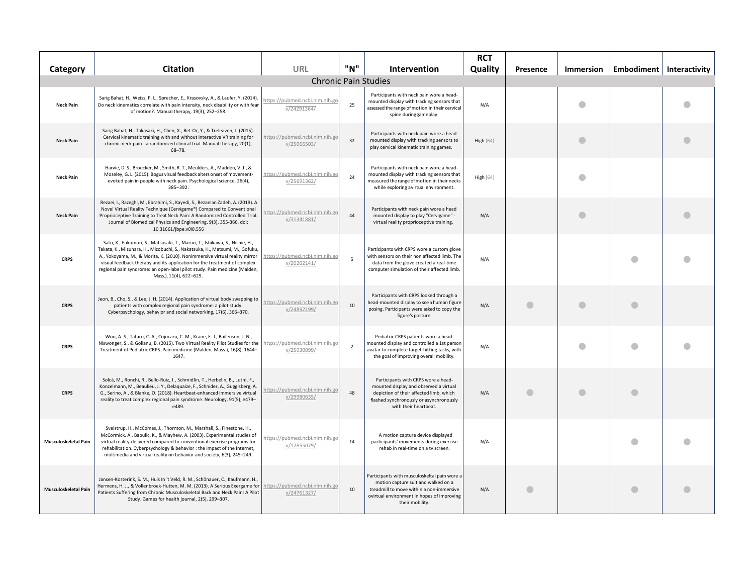| Category             | <b>Citation</b>                                                                                                                                                                                                                                                                                                                                                                                                               | <b>URL</b>                                    | "N"            | Intervention                                                                                                                                                                                     | <b>RCT</b><br>Quality | Presence | <b>Immersion</b> |   | Embodiment   Interactivity |
|----------------------|-------------------------------------------------------------------------------------------------------------------------------------------------------------------------------------------------------------------------------------------------------------------------------------------------------------------------------------------------------------------------------------------------------------------------------|-----------------------------------------------|----------------|--------------------------------------------------------------------------------------------------------------------------------------------------------------------------------------------------|-----------------------|----------|------------------|---|----------------------------|
|                      |                                                                                                                                                                                                                                                                                                                                                                                                                               | <b>Chronic Pain Studies</b>                   |                |                                                                                                                                                                                                  |                       |          |                  |   |                            |
| <b>Neck Pain</b>     | Sarig Bahat, H., Weiss, P. L., Sprecher, E., Krasovsky, A., & Laufer, Y. (2014).<br>Do neck kinematics correlate with pain intensity, neck disability or with fear<br>of motion?. Manual therapy, 19(3), 252-258.                                                                                                                                                                                                             | https://pubmed.ncbi.nlm.nih.go<br>V/24291364/ | 25             | Participants with neck pain wore a head-<br>mounted display with tracking sensors that<br>assessed the range of motion in their cervical<br>spine duringgameplay.                                | N/A                   |          |                  |   |                            |
| <b>Neck Pain</b>     | Sarig Bahat, H., Takasaki, H., Chen, X., Bet-Or, Y., & Treleaven, J. (2015).<br>Cervical kinematic training with and without interactive VR training for<br>chronic neck pain - a randomized clinical trial. Manual therapy, 20(1),<br>$68 - 78.$                                                                                                                                                                             | https://pubmed.ncbi.nlm.nih.go<br>v/25066503/ | 32             | Participants with neck pain wore a head-<br>mounted display with tracking sensors to<br>play cervical kinematic training games.                                                                  | <b>High</b> [64]      |          | a                |   |                            |
| <b>Neck Pain</b>     | Harvie, D. S., Broecker, M., Smith, R. T., Meulders, A., Madden, V. J., &<br>Moseley, G. L. (2015). Bogus visual feedback alters onset of movement-<br>evoked pain in people with neck pain. Psychological science, 26(4),<br>385-392.                                                                                                                                                                                        | https://pubmed.ncbi.nlm.nih.go<br>v/25691362/ | 24             | Participants with neck pain wore a head-<br>mounted display with tracking sensors that<br>measured the range of motion in their necks<br>while exploring avirtual environment.                   | <b>High</b> [64]      |          |                  |   |                            |
| <b>Neck Pain</b>     | Rezaei, I., Razeghi, M., Ebrahimi, S., Kayedi, S., Rezaeian Zadeh, A. (2019). A<br>Novel Virtual Reality Technique (Cervigame®) Compared to Conventional<br>Proprioceptive Training to Treat Neck Pain: A Randomized Controlled Trial.<br>Journal of Biomedical Physics and Engineering, 9(3), 355-366. doi:<br>10.31661/jbpe.v0i0.556                                                                                        | https://pubmed.ncbi.nlm.nih.go<br>v/31341881/ | 44             | Participants with neck pain wore a head<br>mounted display to play "Cervigame" -<br>virtual reality proprioceptive training.                                                                     | N/A                   |          | O                |   |                            |
| <b>CRPS</b>          | Sato, K., Fukumori, S., Matsusaki, T., Maruo, T., Ishikawa, S., Nishie, H.,<br>Takata, K., Mizuhara, H., Mizobuchi, S., Nakatsuka, H., Matsumi, M., Gofuku,<br>A., Yokoyama, M., & Morita, K. (2010). Nonimmersive virtual reality mirror<br>visual feedback therapy and its application for the treatment of complex<br>regional pain syndrome: an open-label pilot study. Pain medicine (Malden,<br>Mass.), 11(4), 622-629. | https://pubmed.ncbi.nlm.nih.go<br>v/20202141/ | 5              | Participants with CRPS wore a custom glove<br>with sensors on their non affected limb. The<br>data from the glove created a real-time<br>computer simulation of their affected limb.             | N/A                   |          |                  |   |                            |
| <b>CRPS</b>          | Jeon, B., Cho, S., & Lee, J. H. (2014). Application of virtual body swapping to<br>patients with complex regional pain syndrome: a pilot study.<br>Cyberpsychology, behavior and social networking, 17(6), 366-370.                                                                                                                                                                                                           | nttps://pubmed.ncbi.nlm.nih.go<br>v/24892199/ | 10             | Participants with CRPS looked through a<br>head-mounted display to see a human figure<br>posing. Participants were asked to copy the<br>figure's posture.                                        | N/A                   |          |                  | O |                            |
| <b>CRPS</b>          | Won, A. S., Tataru, C. A., Cojocaru, C. M., Krane, E. J., Bailenson, J. N.,<br>Niswonger, S., & Golianu, B. (2015). Two Virtual Reality Pilot Studies for the<br>Treatment of Pediatric CRPS. Pain medicine (Malden, Mass.), 16(8), 1644-<br>1647.                                                                                                                                                                            | https://pubmed.ncbi.nlm.nih.go<br>v/25930099/ | $\overline{2}$ | Pediatric CRPS patients wore a head-<br>mounted display and controlled a 1st person<br>avatar to complete target-hitting tasks, with<br>the goal of improving overall mobility.                  | N/A                   |          |                  |   |                            |
| <b>CRPS</b>          | Solcà, M., Ronchi, R., Bello-Ruiz, J., Schmidlin, T., Herbelin, B., Luthi, F.,<br>Konzelmann, M., Beaulieu, J. Y., Delaquaize, F., Schnider, A., Guggisberg, A.<br>G., Serino, A., & Blanke, O. (2018). Heartbeat-enhanced immersive virtual<br>reality to treat complex regional pain syndrome. Neurology, 91(5), e479-<br>e489.                                                                                             | nttps://pubmed.ncbi.nlm.nih.go<br>v/29980635/ | 48             | Participants with CRPS wore a head-<br>mounted display and observed a virtual<br>depiction of their affected limb, which<br>flashed synchronously or asynchronously<br>with their heartbeat.     | N/A                   |          |                  |   |                            |
| Musculoskeletal Pain | Sveistrup, H., McComas, J., Thornton, M., Marshall, S., Finestone, H.,<br>McCormick, A., Babulic, K., & Mayhew, A. (2003). Experimental studies of<br>virtual reality-delivered compared to conventional exercise programs for<br>rehabilitation. Cyberpsychology & behavior : the impact of the Internet,<br>multimedia and virtual reality on behavior and society, 6(3), 245-249.                                          | nttps://pubmed.ncbi.nlm.nih.go<br>v/12855079/ | 14             | A motion capture device displayed<br>participants' movements during exercise<br>rehab in real-time on a tv screen.                                                                               | N/A                   |          |                  |   |                            |
| Musculoskeletal Pain | Jansen-Kosterink, S. M., Huis In 't Veld, R. M., Schönauer, C., Kaufmann, H.,<br>Hermens, H. J., & Vollenbroek-Hutten, M. M. (2013). A Serious Exergame for<br>Patients Suffering from Chronic Musculoskeletal Back and Neck Pain: A Pilot<br>Study. Games for health journal, 2(5), 299-307.                                                                                                                                 | https://pubmed.ncbi.nlm.nih.go<br>v/24761327/ | 10             | Participants with musculoskeltal pain wore a<br>motion capture suit and walked on a<br>treadmill to move within a non-immersive<br>ovirtual environment in hopes of improving<br>their mobility. | N/A                   |          |                  |   |                            |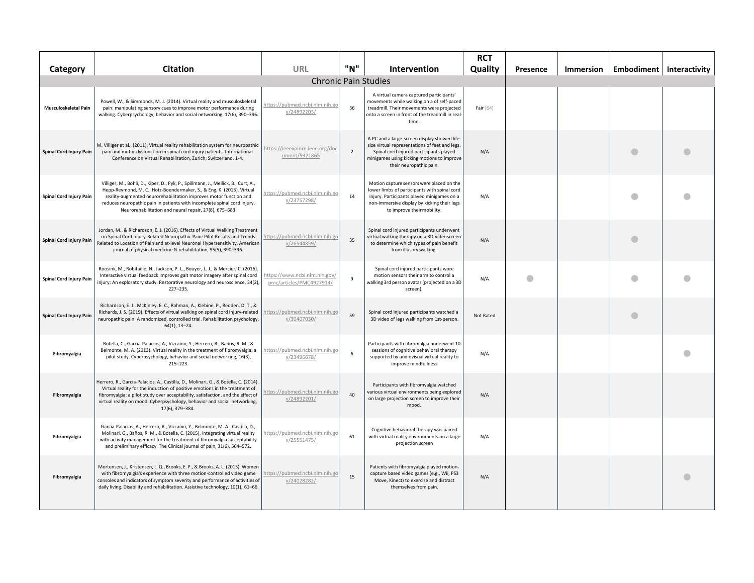| Category                | <b>Citation</b>                                                                                                                                                                                                                                                                                                                                                        | <b>URL</b>                                                | "N"            | Intervention                                                                                                                                                                                                         | <b>RCT</b><br>Quality | Presence | Immersion | Embodiment   Interactivity |  |
|-------------------------|------------------------------------------------------------------------------------------------------------------------------------------------------------------------------------------------------------------------------------------------------------------------------------------------------------------------------------------------------------------------|-----------------------------------------------------------|----------------|----------------------------------------------------------------------------------------------------------------------------------------------------------------------------------------------------------------------|-----------------------|----------|-----------|----------------------------|--|
|                         |                                                                                                                                                                                                                                                                                                                                                                        |                                                           |                | <b>Chronic Pain Studies</b>                                                                                                                                                                                          |                       |          |           |                            |  |
| Musculoskeletal Pain    | Powell, W., & Simmonds, M. J. (2014). Virtual reality and musculoskeletal<br>pain: manipulating sensory cues to improve motor performance during<br>walking. Cyberpsychology, behavior and social networking, 17(6), 390-396.                                                                                                                                          | https://pubmed.ncbi.nlm.nih.go<br>v/24892203/             | 36             | A virtual camera captured participants'<br>movements while walking on a of self-paced<br>treadmill. Their movements were projected<br>onto a screen in front of the treadmill in real-<br>time.                      | Fair [64]             |          |           |                            |  |
| Spinal Cord Injury Pain | M. Villiger et al., (2011). Virtual reality rehabilitation system for neuropathic<br>pain and motor dysfunction in spinal cord injury patients. International<br>Conference on Virtual Rehabilitation, Zurich, Switzerland, 1-4.                                                                                                                                       | https://ieeexplore.ieee.org/doo<br>ument/5971865          | $\overline{2}$ | A PC and a large-screen display showed life-<br>size virtual representations of feet and legs.<br>Spinal cord injured participants played<br>minigames using kicking motions to improve<br>their neuropathic pain.   | N/A                   |          |           |                            |  |
| Spinal Cord Injury Pain | Villiger, M., Bohli, D., Kiper, D., Pyk, P., Spillmann, J., Meilick, B., Curt, A.,<br>Hepp-Reymond, M. C., Hotz-Boendermaker, S., & Eng, K. (2013). Virtual<br>reality-augmented neurorehabilitation improves motor function and<br>reduces neuropathic pain in patients with incomplete spinal cord injury.<br>Neurorehabilitation and neural repair, 27(8), 675-683. | https://pubmed.ncbi.nlm.nih.go<br>v/23757298/             | 14             | Motion capture sensors were placed on the<br>lower limbs of participants with spinal cord<br>injury. Participants played minigames on a<br>non-immersive display by kicking their legs<br>to improve their mobility. | N/A                   |          |           |                            |  |
| Spinal Cord Injury Pain | Jordan, M., & Richardson, E. J. (2016). Effects of Virtual Walking Treatment<br>on Spinal Cord Injury-Related Neuropathic Pain: Pilot Results and Trends<br>Related to Location of Pain and at-level Neuronal Hypersensitivity. American<br>journal of physical medicine & rehabilitation, 95(5), 390-396.                                                             | nttps://pubmed.ncbi.nlm.nih.gc<br>v/26544859/             | 35             | Spinal cord injured participants underwent<br>virtual walking therapy on a 3D-videoscreen<br>to determine which types of pain benefit<br>from illusory walking.                                                      | N/A                   |          |           |                            |  |
| Spinal Cord Injury Pain | Roosink, M., Robitaille, N., Jackson, P. L., Bouyer, L. J., & Mercier, C. (2016)<br>Interactive virtual feedback improves gait motor imagery after spinal cord<br>injury: An exploratory study. Restorative neurology and neuroscience, 34(2),<br>227-235.                                                                                                             | https://www.ncbi.nlm.nih.gov/<br>pmc/articles/PMC4927914/ | $\overline{9}$ | Spinal cord injured participants wore<br>motion sensors their arm to control a<br>walking 3rd person avatar (projected on a 3D<br>screen).                                                                           | N/A                   | O        |           |                            |  |
| Spinal Cord Injury Pain | Richardson, E. J., McKinley, E. C., Rahman, A., Klebine, P., Redden, D. T., &<br>Richards, J. S. (2019). Effects of virtual walking on spinal cord injury-related<br>neuropathic pain: A randomized, controlled trial. Rehabilitation psychology,<br>$64(1)$ , 13-24.                                                                                                  | https://pubmed.ncbi.nlm.nih.go<br>v/30407030/             | 59             | Spinal cord injured participants watched a<br>3D video of legs walking from 1st-person.                                                                                                                              | Not Rated             |          |           | a                          |  |
| Fibromyalgia            | Botella, C., Garcia-Palacios, A., Vizcaíno, Y., Herrero, R., Baños, R. M., &<br>Belmonte, M. A. (2013). Virtual reality in the treatment of fibromyalgia: a<br>pilot study. Cyberpsychology, behavior and social networking, 16(3),<br>$215 - 223$ .                                                                                                                   | https://pubmed.ncbi.nlm.nih.go<br>v/23496678/             | 6              | Participants with fibromalgia underwent 10<br>sessions of cognitive behavioral therapy<br>supported by audiovisual virtual reality to<br>improve mindfullness                                                        | N/A                   |          |           |                            |  |
| Fibromyalgia            | Herrero, R., García-Palacios, A., Castilla, D., Molinari, G., & Botella, C. (2014).<br>Virtual reality for the induction of positive emotions in the treatment of<br>fibromyalgia: a pilot study over acceptability, satisfaction, and the effect of<br>virtual reality on mood. Cyberpsychology, behavior and social networking,<br>17(6), 379-384.                   | ttps://pubmed.ncbi.nlm.nih.go<br>v/24892201/              | 40             | Participants with fibromyalgia watched<br>various virtual environments being explored<br>on large projection screen to improve their<br>mood.                                                                        | N/A                   |          |           |                            |  |
| Fibromyalgia            | Garcia-Palacios, A., Herrero, R., Vizcaíno, Y., Belmonte, M. A., Castilla, D.,<br>Molinari, G., Baños, R. M., & Botella, C. (2015). Integrating virtual reality<br>with activity management for the treatment of fibromyalgia: acceptability<br>and preliminary efficacy. The Clinical journal of pain, 31(6), 564-572.                                                | nttps://pubmed.ncbi.nlm.nih.go<br>v/25551475/             | 61             | Cognitive behavioral therapy was paired<br>with virtual reality environments on a large<br>projection screen                                                                                                         | N/A                   |          |           |                            |  |
| Fibromyalgia            | Mortensen, J., Kristensen, L. Q., Brooks, E. P., & Brooks, A. L. (2015). Women<br>with fibromyalgia's experience with three motion-controlled video game<br>consoles and indicators of symptom severity and performance of activities of<br>daily living. Disability and rehabilitation. Assistive technology, 10(1), 61-66.                                           | ttps://pubmed.ncbi.nlm.nih.go<br>v/24028282/              | 15             | Patients with fibromyalgia played motion-<br>capture based video games (e.g., Wii, PS3<br>Move, Kinect) to exercise and distract<br>themselves from pain.                                                            | N/A                   |          |           |                            |  |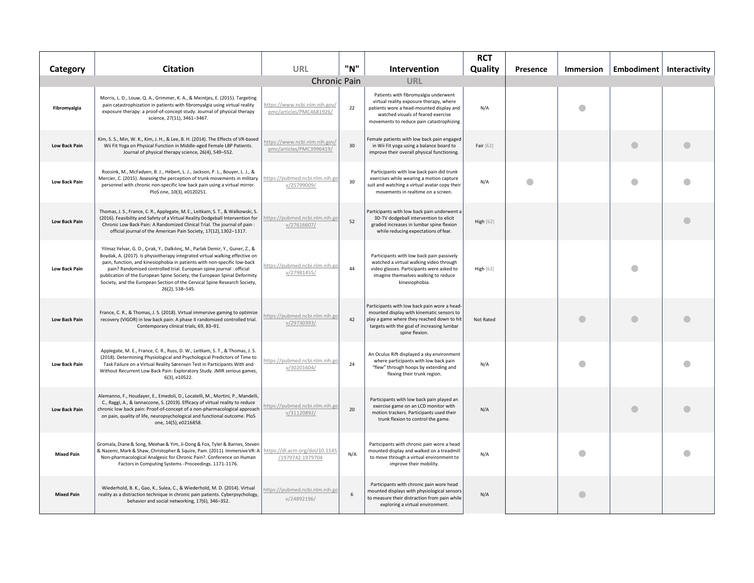| Category             | <b>Citation</b>                                                                                                                                                                                                                                                                                                                                                                                                                                                                               | <b>URL</b>                                                | "N" | Intervention                                                                                                                                                                                                  | <b>RCT</b><br>Quality | Presence | <b>Immersion</b> |   | Embodiment   Interactivity |
|----------------------|-----------------------------------------------------------------------------------------------------------------------------------------------------------------------------------------------------------------------------------------------------------------------------------------------------------------------------------------------------------------------------------------------------------------------------------------------------------------------------------------------|-----------------------------------------------------------|-----|---------------------------------------------------------------------------------------------------------------------------------------------------------------------------------------------------------------|-----------------------|----------|------------------|---|----------------------------|
|                      |                                                                                                                                                                                                                                                                                                                                                                                                                                                                                               | <b>Chronic Pain</b>                                       |     | <b>URL</b>                                                                                                                                                                                                    |                       |          |                  |   |                            |
| Fibromyalgia         | Morris, L. D., Louw, Q. A., Grimmer, K. A., & Meintjes, E. (2015). Targeting<br>pain catastrophization in patients with fibromyalgia using virtual reality<br>exposure therapy: a proof-of-concept study. Journal of physical therapy<br>science, 27(11), 3461-3467.                                                                                                                                                                                                                          | https://www.ncbi.nlm.nih.gov/<br>pmc/articles/PMC4681926/ | 22  | Patients with fibromyalgia underwent<br>virtual reality exposure therapy, where<br>patients wore a head-mounted display and<br>watched visuals of feared exercise<br>movements to reduce pain catastrophizing | N/A                   |          |                  |   |                            |
| <b>Low Back Pain</b> | Kim, S. S., Min, W. K., Kim, J. H., & Lee, B. H. (2014). The Effects of VR-based<br>Wii Fit Yoga on Physical Function in Middle-aged Female LBP Patients.<br>Journal of physical therapy science, 26(4), 549-552.                                                                                                                                                                                                                                                                             | https://www.ncbi.nlm.nih.gov/<br>pmc/articles/PMC3996419/ | 30  | emale patients with low back pain engaged<br>in Wii Fit yoga using a balance board to<br>improve their overall physical functioning.                                                                          | Fair [62]             |          |                  | O |                            |
| <b>Low Back Pain</b> | Roosink, M., McFadyen, B. J., Hébert, L. J., Jackson, P. L., Bouyer, L. J., &<br>Mercier, C. (2015). Assessing the perception of trunk movements in military<br>personnel with chronic non-specific low back pain using a virtual mirror.<br>PloS one, 10(3), e0120251.                                                                                                                                                                                                                       | https://pubmed.ncbi.nlm.nih.go<br>v/25799009/             | 30  | Participants with low back pain did trunk<br>exercises while wearing a motion capture<br>suit and watching a virtual avatar copy their<br>movements in realtime on a screen.                                  | N/A                   |          |                  |   |                            |
| <b>Low Back Pain</b> | Thomas, J. S., France, C. R., Applegate, M. E., Leitkam, S. T., & Walkowski, S.<br>(2016). Feasibility and Safety of a Virtual Reality Dodgeball Intervention for<br>Chronic Low Back Pain: A Randomized Clinical Trial. The journal of pain :<br>official journal of the American Pain Society, 17(12), 1302-1317.                                                                                                                                                                           | https://pubmed.ncbi.nlm.nih.go<br>v/27616607/             | 52  | Participants with low back pain underwent a<br>3D-TV dodgeball intervention to elicit<br>graded increases in lumbar spine flexion<br>while reducing expectations of fear.                                     | <b>High</b> [62]      |          |                  |   |                            |
| <b>Low Back Pain</b> | Yilmaz Yelvar, G. D., Çırak, Y., Dalkılınç, M., Parlak Demir, Y., Guner, Z., &<br>Boydak, A. (2017). Is physiotherapy integrated virtual walking effective on<br>pain, function, and kinesiophobia in patients with non-specific low-back<br>pain? Randomised controlled trial. European spine journal : official<br>publication of the European Spine Society, the European Spinal Deformity<br>Society, and the European Section of the Cervical Spine Research Society,<br>26(2), 538-545. | https://pubmed.ncbi.nlm.nih.go<br>v/27981455/             | 44  | Participants with low back pain passively<br>watched a virtual walking video through<br>video glasses. Participants were asked to<br>imagine themselves walking to reduce<br>kinesiophobia.                   | High $[62]$           |          |                  |   |                            |
| <b>Low Back Pain</b> | France, C. R., & Thomas, J. S. (2018). Virtual immersive gaming to optimize<br>recovery (VIGOR) in low back pain: A phase II randomized controlled trial.<br>Contemporary clinical trials, 69, 83-91.                                                                                                                                                                                                                                                                                         | https://pubmed.ncbi.nlm.nih.go<br>v/29730393/             | 42  | Participants with low back pain wore a head-<br>mounted display with kinematic sensors to<br>play a game where they reached down to hit<br>targets with the goal of increasing lumbar<br>spine flexion.       | Not Rated             |          |                  |   |                            |
| Low Back Pain        | Applegate, M. E., France, C. R., Russ, D. W., Leitkam, S. T., & Thomas, J. S.<br>(2018). Determining Physiological and Psychological Predictors of Time to<br>Task Failure on a Virtual Reality Sørensen Test in Participants With and<br>Without Recurrent Low Back Pain: Exploratory Study. JMIR serious games,<br>6(3), e10522.                                                                                                                                                            | https://pubmed.ncbi.nlm.nih.go<br>v/30201604/             | 24  | An Oculus Rift displayed a sky environment<br>where participants with low back pain<br>"flew" through hoops by extending and<br>flexing their trunk region.                                                   | N/A                   |          |                  |   |                            |
| <b>Low Back Pain</b> | Alemanno, F., Houdayer, E., Emedoli, D., Locatelli, M., Mortini, P., Mandelli,<br>C., Raggi, A., & Iannaccone, S. (2019). Efficacy of virtual reality to reduce<br>chronic low back pain: Proof-of-concept of a non-pharmacological approach<br>on pain, quality of life, neuropsychological and functional outcome. PloS<br>one, 14(5), e0216858.                                                                                                                                            | https://pubmed.ncbi.nlm.nih.go<br>v/31120892/             | 20  | Participants with low back pain played an<br>exercise game on an LCD monitor with<br>motion trackers. Participants used their<br>trunk flexion to control the game.                                           | N/A                   |          |                  |   |                            |
| <b>Mixed Pain</b>    | Gromala, Diane & Song, Meehae & Yim, Ji-Dong & Fox, Tyler & Barnes, Steven<br>& Nazemi, Mark & Shaw, Christopher & Squire, Pam. (2011). Immersive VR: A<br>Non-pharmacological Analgesic for Chronic Pain?. Conference on Human<br>Factors in Computing Systems - Proceedings. 1171-1176.                                                                                                                                                                                                     | https://dl.acm.org/doi/10.1145<br>/1979742.1979704        | N/A | Participants with chronic pain wore a head<br>mounted display and walked on a treadmill<br>to move through a virtual environment to<br>improve their mobility.                                                | N/A                   |          |                  |   |                            |
| <b>Mixed Pain</b>    | Wiederhold, B. K., Gao, K., Sulea, C., & Wiederhold, M. D. (2014). Virtual<br>reality as a distraction technique in chronic pain patients. Cyberpsychology,<br>behavior and social networking, 17(6), 346-352.                                                                                                                                                                                                                                                                                | https://pubmed.ncbi.nlm.nih.go<br>V/24892196/             | 6   | Participants with chronic pain wore head<br>mounted displays with physiological sensors<br>to measure their distraction from pain while<br>exploring a virtual environment.                                   | N/A                   |          | O                |   |                            |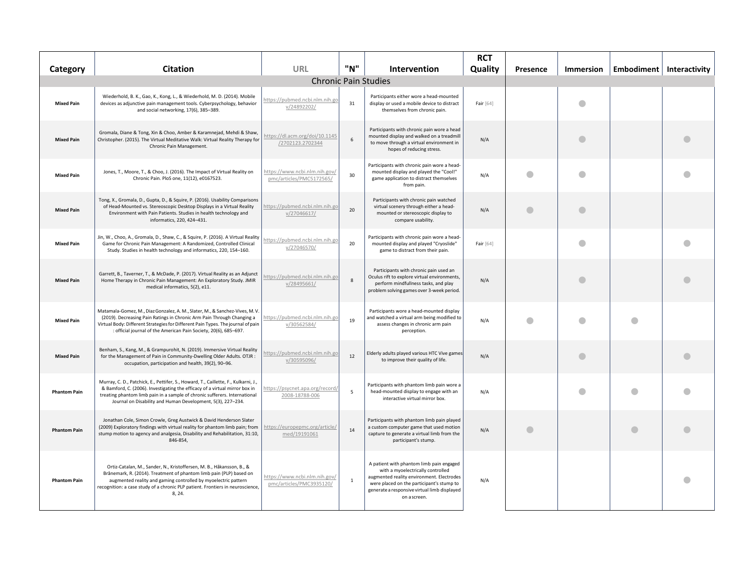| Category            | <b>Citation</b>                                                                                                                                                                                                                                                                                                 | URL                                                       | "N"          | <b>Intervention</b>                                                                                                                                                                                                                     | <b>RCT</b><br>Quality | Presence       | <b>Immersion</b> |           | Embodiment   Interactivity |
|---------------------|-----------------------------------------------------------------------------------------------------------------------------------------------------------------------------------------------------------------------------------------------------------------------------------------------------------------|-----------------------------------------------------------|--------------|-----------------------------------------------------------------------------------------------------------------------------------------------------------------------------------------------------------------------------------------|-----------------------|----------------|------------------|-----------|----------------------------|
|                     |                                                                                                                                                                                                                                                                                                                 |                                                           |              | <b>Chronic Pain Studies</b>                                                                                                                                                                                                             |                       |                |                  |           |                            |
| <b>Mixed Pain</b>   | Wiederhold, B. K., Gao, K., Kong, L., & Wiederhold, M. D. (2014). Mobile<br>devices as adjunctive pain management tools. Cyberpsychology, behavior<br>and social networking, 17(6), 385-389.                                                                                                                    | nttps://pubmed.ncbi.nlm.nih.go<br>v/24892202/             | 31           | Participants either wore a head-mounted<br>display or used a mobile device to distract<br>themselves from chronic pain.                                                                                                                 | Fair [64]             |                |                  |           |                            |
| <b>Mixed Pain</b>   | Gromala, Diane & Tong, Xin & Choo, Amber & Karamnejad, Mehdi & Shaw,<br>Christopher. (2015). The Virtual Meditative Walk: Virtual Reality Therapy for<br>Chronic Pain Management.                                                                                                                               | https://dl.acm.org/doi/10.1145<br>/2702123.2702344        | 6            | Participants with chronic pain wore a head<br>mounted display and walked on a treadmill<br>to move through a virtual environment in<br>hopes of reducing stress.                                                                        | N/A                   |                | €                |           |                            |
| <b>Mixed Pain</b>   | Jones, T., Moore, T., & Choo, J. (2016). The Impact of Virtual Reality on<br>Chronic Pain. PloS one, 11(12), e0167523.                                                                                                                                                                                          | https://www.ncbi.nlm.nih.gov/<br>pmc/articles/PMC5172565/ | 30           | Participants with chronic pain wore a head-<br>mounted display and played the "Cool!"<br>game application to distract themselves<br>from pain.                                                                                          | N/A                   | $\blacksquare$ |                  |           |                            |
| <b>Mixed Pain</b>   | Tong, X., Gromala, D., Gupta, D., & Squire, P. (2016). Usability Comparisons<br>of Head-Mounted vs. Stereoscopic Desktop Displays in a Virtual Reality<br>Environment with Pain Patients. Studies in health technology and<br>informatics, 220, 424-431.                                                        | https://pubmed.ncbi.nlm.nih.go<br>v/27046617/             | 20           | Participants with chronic pain watched<br>virtual scenery through either a head-<br>mounted or stereoscopic display to<br>compare usability.                                                                                            | N/A                   | $\bullet$      | $\bullet$        |           |                            |
| <b>Mixed Pain</b>   | Jin, W., Choo, A., Gromala, D., Shaw, C., & Squire, P. (2016). A Virtual Reality<br>Game for Chronic Pain Management: A Randomized, Controlled Clinical<br>Study. Studies in health technology and informatics, 220, 154-160.                                                                                   | nttps://pubmed.ncbi.nlm.nih.go<br>v/27046570/             | 20           | Participants with chronic pain wore a head-<br>mounted display and played "Cryoslide"<br>game to distract from their pain.                                                                                                              | Fair [64]             |                |                  |           |                            |
| <b>Mixed Pain</b>   | Garrett, B., Taverner, T., & McDade, P. (2017). Virtual Reality as an Adjunct<br>Home Therapy in Chronic Pain Management: An Exploratory Study. JMIR<br>medical informatics, 5(2), e11.                                                                                                                         | nttps://pubmed.ncbi.nlm.nih.go<br>v/28495661/             | $\mathbf{g}$ | Participants with chronic pain used an<br>Oculus rift to explore virtual environments,<br>perform mindfullness tasks, and play<br>problem solving games over 3-week period.                                                             | N/A                   |                |                  |           |                            |
| <b>Mixed Pain</b>   | Matamala-Gomez, M., Diaz Gonzalez, A. M., Slater, M., & Sanchez-Vives, M. V.<br>(2019). Decreasing Pain Ratings in Chronic Arm Pain Through Changing a<br>Virtual Body: Different Strategies for Different Pain Types. The journal of pain<br>: official journal of the American Pain Society, 20(6), 685-697.  | https://pubmed.ncbi.nlm.nih.go<br>v/30562584/             | 19           | Participants wore a head-mounted display<br>and watched a virtual arm being modified to<br>assess changes in chronic arm pain<br>perception.                                                                                            | N/A                   | O              |                  | $\bullet$ |                            |
| <b>Mixed Pain</b>   | Benham, S., Kang, M., & Grampurohit, N. (2019). Immersive Virtual Reality<br>for the Management of Pain in Community-Dwelling Older Adults. OTJR :<br>occupation, participation and health, 39(2), 90-96.                                                                                                       | https://pubmed.ncbi.nlm.nih.go<br>v/30595096/             | 12           | Elderly adults played various HTC Vive games<br>to improve their quality of life.                                                                                                                                                       | N/A                   |                | O                |           |                            |
| <b>Phantom Pain</b> | Murray, C. D., Patchick, E., Pettifer, S., Howard, T., Caillette, F., Kulkarni, J.,<br>& Bamford, C. (2006). Investigating the efficacy of a virtual mirror box in<br>treating phantom limb pain in a sample of chronic sufferers. International<br>Journal on Disability and Human Development, 5(3), 227-234. | https://psycnet.apa.org/record<br>2008-18788-006          | 5            | Participants with phantom limb pain wore a<br>head-mounted display to engage with an<br>interactive virtual mirror box.                                                                                                                 | N/A                   |                |                  |           |                            |
| <b>Phantom Pain</b> | Jonathan Cole, Simon Crowle, Greg Austwick & David Henderson Slater<br>(2009) Exploratory findings with virtual reality for phantom limb pain; from<br>stump motion to agency and analgesia, Disability and Rehabilitation, 31:10,<br>846-854,                                                                  | https://europepmc.org/article/<br>med/19191061            | 14           | Participants with phantom limb pain played<br>a custom computer game that used motion<br>capture to generate a virtual limb from the<br>participant's stump.                                                                            | N/A                   | O              |                  | $\bullet$ |                            |
| <b>Phantom Pain</b> | Ortiz-Catalan, M., Sander, N., Kristoffersen, M. B., Håkansson, B., &<br>Brånemark, R. (2014). Treatment of phantom limb pain (PLP) based on<br>augmented reality and gaming controlled by myoelectric pattern<br>recognition: a case study of a chronic PLP patient. Frontiers in neuroscience,<br>8, 24.      | https://www.ncbi.nlm.nih.gov/<br>pmc/articles/PMC3935120/ | $\mathbf{1}$ | A patient with phantom limb pain engaged<br>with a myoelectrically controlled<br>augmented reality environment. Electrodes<br>were placed on the participant's stump to<br>generate a responsive virtual limb displayed<br>on a screen. | N/A                   |                |                  |           |                            |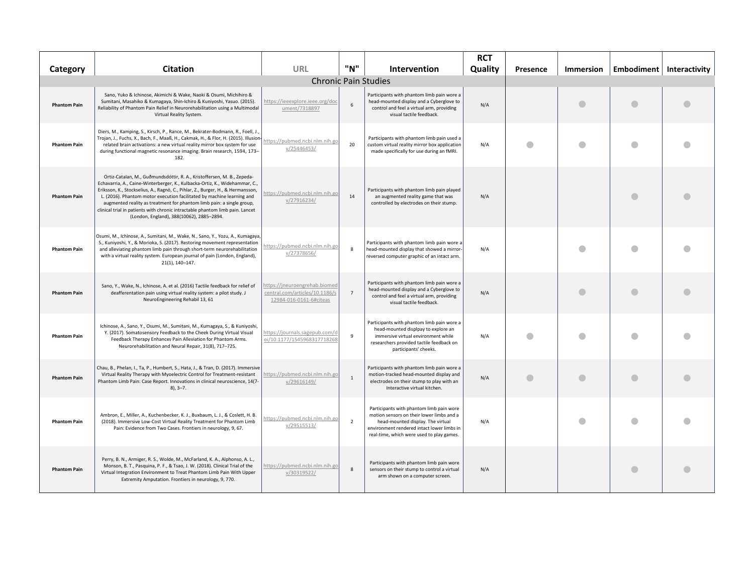|                     |                                                                                                                                                                                                                                                                                                                                                                                                                                                                                                                            |                                                                                            |                |                                                                                                                                                                                                                       | <b>RCT</b> |          |                  |   |                            |
|---------------------|----------------------------------------------------------------------------------------------------------------------------------------------------------------------------------------------------------------------------------------------------------------------------------------------------------------------------------------------------------------------------------------------------------------------------------------------------------------------------------------------------------------------------|--------------------------------------------------------------------------------------------|----------------|-----------------------------------------------------------------------------------------------------------------------------------------------------------------------------------------------------------------------|------------|----------|------------------|---|----------------------------|
| Category            | <b>Citation</b>                                                                                                                                                                                                                                                                                                                                                                                                                                                                                                            | URL                                                                                        | "N"            | Intervention                                                                                                                                                                                                          | Quality    | Presence | <b>Immersion</b> |   | Embodiment   Interactivity |
|                     |                                                                                                                                                                                                                                                                                                                                                                                                                                                                                                                            |                                                                                            |                | <b>Chronic Pain Studies</b>                                                                                                                                                                                           |            |          |                  |   |                            |
| <b>Phantom Pain</b> | Sano, Yuko & Ichinose, Akimichi & Wake, Naoki & Osumi, Michihiro &<br>Sumitani, Masahiko & Kumagaya, Shin-Ichiro & Kuniyoshi, Yasuo. (2015).<br>Reliability of Phantom Pain Relief in Neurorehabilitation using a Multimodal<br>Virtual Reality System.                                                                                                                                                                                                                                                                    | https://ieeexplore.ieee.org/doc<br>ument/7318897                                           | 6              | Participants with phantom limb pain wore a<br>head-mounted display and a Cyberglove to<br>control and feel a virtual arm, providing<br>visual tactile feedback.                                                       | N/A        |          |                  |   |                            |
| <b>Phantom Pain</b> | Diers, M., Kamping, S., Kirsch, P., Rance, M., Bekrater-Bodmann, R., Foell, J.,<br>Trojan, J., Fuchs, X., Bach, F., Maaß, H., Cakmak, H., & Flor, H. (2015). Illusion-<br>related brain activations: a new virtual reality mirror box system for use<br>during functional magnetic resonance imaging. Brain research, 1594, 173-<br>182.                                                                                                                                                                                   | https://pubmed.ncbi.nlm.nih.go<br>v/25446453/                                              | 20             | Participants with phantom limb pain used a<br>custom virtual reality mirror box application<br>made specifically for use during an fMRI.                                                                              | N/A        |          |                  |   |                            |
| <b>Phantom Pain</b> | Ortiz-Catalan, M., Guðmundsdóttir, R. A., Kristoffersen, M. B., Zepeda-<br>Echavarria, A., Caine-Winterberger, K., Kulbacka-Ortiz, K., Widehammar, C.,<br>Eriksson, K., Stockselius, A., Ragnö, C., Pihlar, Z., Burger, H., & Hermansson,<br>L. (2016). Phantom motor execution facilitated by machine learning and<br>augmented reality as treatment for phantom limb pain: a single group,<br>clinical trial in patients with chronic intractable phantom limb pain. Lancet<br>(London, England), 388(10062), 2885-2894. | https://pubmed.ncbi.nlm.nih.gc<br>v/27916234/                                              | 14             | Participants with phantom limb pain played<br>an augmented reality game that was<br>controlled by electrodes on their stump.                                                                                          | N/A        |          |                  |   |                            |
| <b>Phantom Pain</b> | Osumi, M., Ichinose, A., Sumitani, M., Wake, N., Sano, Y., Yozu, A., Kumagaya,<br>S., Kuniyoshi, Y., & Morioka, S. (2017). Restoring movement representation<br>and alleviating phantom limb pain through short-term neurorehabilitation<br>with a virtual reality system. European journal of pain (London, England),<br>21(1), 140-147.                                                                                                                                                                                  | https://pubmed.ncbi.nlm.nih.go<br>v/27378656/                                              | -8             | Participants with phantom limb pain wore a<br>head-mounted display that showed a mirror-<br>reversed computer graphic of an intact arm.                                                                               | N/A        |          |                  |   |                            |
| <b>Phantom Pain</b> | Sano, Y., Wake, N., Ichinose, A. et al. (2016) Tactile feedback for relief of<br>deafferentation pain using virtual reality system: a pilot study. J<br>NeuroEngineering Rehabil 13, 61                                                                                                                                                                                                                                                                                                                                    | https://jneuroengrehab.biomed<br>central.com/articles/10.1186/s<br>12984-016-0161-6#citeas | $\overline{7}$ | Participants with phantom limb pain wore a<br>head-mounted display and a Cyberglove to<br>control and feel a virtual arm, providing<br>visual tactile feedback.                                                       | N/A        |          |                  |   |                            |
| <b>Phantom Pain</b> | Ichinose, A., Sano, Y., Osumi, M., Sumitani, M., Kumagaya, S., & Kuniyoshi,<br>Y. (2017). Somatosensory Feedback to the Cheek During Virtual Visual<br>Feedback Therapy Enhances Pain Alleviation for Phantom Arms.<br>Neurorehabilitation and Neural Repair, 31(8), 717-725.                                                                                                                                                                                                                                              | https://journals.sagepub.com/c<br>oi/10.1177/1545968317718268                              | $\mathbf{q}$   | Participants with phantom limb pain wore a<br>head-mounted displpay to explore an<br>immersive virtual environment while<br>researchers provided tactile feedback on<br>participants' cheeks.                         | N/A        |          |                  |   |                            |
| <b>Phantom Pain</b> | Chau, B., Phelan, I., Ta, P., Humbert, S., Hata, J., & Tran, D. (2017). Immersive<br>Virtual Reality Therapy with Myoelectric Control for Treatment-resistant<br>Phantom Limb Pain: Case Report. Innovations in clinical neuroscience, 14(7-<br>$8$ ), $3 - 7$ .                                                                                                                                                                                                                                                           | https://pubmed.ncbi.nlm.nih.go<br>v/29616149/                                              | $\overline{1}$ | Participants with phantom limb pain wore a<br>motion-tracked head-mounted display and<br>electrodes on their stump to play with an<br>Interactive virtual kitchen.                                                    | N/A        |          | a                |   |                            |
| <b>Phantom Pain</b> | Ambron, E., Miller, A., Kuchenbecker, K. J., Buxbaum, L. J., & Coslett, H. B.<br>(2018). Immersive Low-Cost Virtual Reality Treatment for Phantom Limb<br>Pain: Evidence from Two Cases. Frontiers in neurology, 9, 67.                                                                                                                                                                                                                                                                                                    | nttps://pubmed.ncbi.nlm.nih.gc<br>v/29515513/                                              | $\overline{2}$ | Participants with phantom limb pain wore<br>motion sensors on their lower limbs and a<br>head-mounted display. The virtual<br>environment rendered intact lower limbs in<br>real-time, which were used to play games. | N/A        |          |                  | a |                            |
| <b>Phantom Pain</b> | Perry, B. N., Armiger, R. S., Wolde, M., McFarland, K. A., Alphonso, A. L.,<br>Monson, B. T., Pasquina, P. F., & Tsao, J. W. (2018). Clinical Trial of the<br>Virtual Integration Environment to Treat Phantom Limb Pain With Upper<br>Extremity Amputation. Frontiers in neurology, 9, 770.                                                                                                                                                                                                                               | https://pubmed.ncbi.nlm.nih.go<br>v/30319522/                                              | $\mathbf{8}$   | Participants with phantom limb pain wore<br>sensors on their stump to control a virtual<br>arm shown on a computer screen.                                                                                            | N/A        |          |                  |   |                            |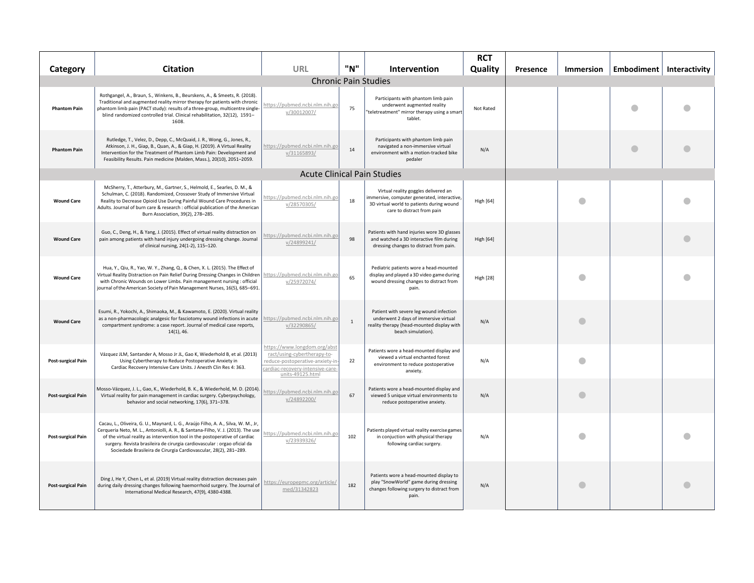| Category                  | <b>Citation</b>                                                                                                                                                                                                                                                                                                                                                                                        | URL                                                                                                                                                    | "N"          | Intervention                                                                                                                                                  | <b>RCT</b><br>Quality | Presence | <b>Immersion</b> | Embodiment   Interactivity |
|---------------------------|--------------------------------------------------------------------------------------------------------------------------------------------------------------------------------------------------------------------------------------------------------------------------------------------------------------------------------------------------------------------------------------------------------|--------------------------------------------------------------------------------------------------------------------------------------------------------|--------------|---------------------------------------------------------------------------------------------------------------------------------------------------------------|-----------------------|----------|------------------|----------------------------|
|                           |                                                                                                                                                                                                                                                                                                                                                                                                        |                                                                                                                                                        |              | <b>Chronic Pain Studies</b>                                                                                                                                   |                       |          |                  |                            |
| <b>Phantom Pain</b>       | Rothgangel, A., Braun, S., Winkens, B., Beurskens, A., & Smeets, R. (2018).<br>Traditional and augmented reality mirror therapy for patients with chronic<br>phantom limb pain (PACT study): results of a three-group, multicentre single-<br>blind randomized controlled trial. Clinical rehabilitation, 32(12), 1591-<br>1608.                                                                       | ittps://pubmed.ncbi.nlm.nih.go<br>v/30012007/                                                                                                          | 75           | Participants with phantom limb pain<br>underwent augmented reality<br>teletreatment" mirror therapy using a smart<br>tablet.                                  | Not Rated             |          |                  |                            |
| <b>Phantom Pain</b>       | Rutledge, T., Velez, D., Depp, C., McQuaid, J. R., Wong, G., Jones, R.,<br>Atkinson, J. H., Giap, B., Quan, A., & Giap, H. (2019). A Virtual Reality<br>Intervention for the Treatment of Phantom Limb Pain: Development and<br>Feasibility Results. Pain medicine (Malden, Mass.), 20(10), 2051-2059.                                                                                                 | https://pubmed.ncbi.nlm.nih.go<br>v/31165893/                                                                                                          | 14           | Participants with phantom limb pain<br>navigated a non-immersive virtual<br>environment with a motion-tracked bike<br>pedaler                                 | N/A                   |          |                  |                            |
|                           |                                                                                                                                                                                                                                                                                                                                                                                                        |                                                                                                                                                        |              | <b>Acute Clinical Pain Studies</b>                                                                                                                            |                       |          |                  |                            |
| <b>Wound Care</b>         | McSherry, T., Atterbury, M., Gartner, S., Helmold, E., Searles, D. M., &<br>Schulman, C. (2018). Randomized, Crossover Study of Immersive Virtual<br>Reality to Decrease Opioid Use During Painful Wound Care Procedures in<br>Adults. Journal of burn care & research : official publication of the American<br>Burn Association, 39(2), 278-285.                                                     | nttps://pubmed.ncbi.nlm.nih.go<br>v/28570305/                                                                                                          | 18           | Virtual reality goggles delivered an<br>immersive, computer generated, interactive<br>3D virtual world to patients during wound<br>care to distract from pain | <b>High [64]</b>      |          |                  |                            |
| <b>Wound Care</b>         | Guo, C., Deng, H., & Yang, J. (2015). Effect of virtual reality distraction on<br>pain among patients with hand injury undergoing dressing change. Journal<br>of clinical nursing, 24(1-2), 115-120.                                                                                                                                                                                                   | nttps://pubmed.ncbi.nlm.nih.go<br>v/24899241/                                                                                                          | 98           | Patients with hand injuries wore 3D glasses<br>and watched a 3D interactive film during<br>dressing changes to distract from pain.                            | <b>High [64]</b>      |          |                  |                            |
| <b>Wound Care</b>         | Hua, Y., Qiu, R., Yao, W. Y., Zhang, Q., & Chen, X. L. (2015). The Effect of<br>Virtual Reality Distraction on Pain Relief During Dressing Changes in Children<br>with Chronic Wounds on Lower Limbs. Pain management nursing : official<br>journal of the American Society of Pain Management Nurses, 16(5), 685-691                                                                                  | https://pubmed.ncbi.nlm.nih.go<br>v/25972074/                                                                                                          | 65           | Pediatric patients wore a head-mounted<br>display and played a 3D video game during<br>wound dressing changes to distract from<br>pain.                       | <b>High [28]</b>      |          |                  |                            |
| <b>Wound Care</b>         | Esumi, R., Yokochi, A., Shimaoka, M., & Kawamoto, E. (2020). Virtual reality<br>as a non-pharmacologic analgesic for fasciotomy wound infections in acute<br>compartment syndrome: a case report. Journal of medical case reports,<br>14(1), 46.                                                                                                                                                       | https://pubmed.ncbi.nlm.nih.go<br>v/32290865/                                                                                                          | $\mathbf{1}$ | Patient with severe leg wound infection<br>underwent 2 days of immersive virtual<br>reality therapy (head-mounted display with<br>beach simulation).          | N/A                   |          |                  |                            |
| <b>Post-surgical Pain</b> | Vázquez JLM, Santander A, Mosso Jr JL, Gao K, Wiederhold B, et al. (2013)<br>Using Cybertherapy to Reduce Postoperative Anxiety in<br>Cardiac Recovery Intensive Care Units. J Anesth Clin Res 4: 363.                                                                                                                                                                                                 | https://www.longdom.org/abst<br>ract/using-cybertherapy-to-<br>reduce-postoperative-anxiety-ir<br>cardiac-recovery-intensive-care-<br>units-49125.html | 22           | Patients wore a head-mounted display and<br>viewed a virtual enchanted forest<br>environment to reduce postoperative<br>anxiety.                              | N/A                   |          |                  |                            |
| <b>Post-surgical Pain</b> | Mosso-Vázquez, J. L., Gao, K., Wiederhold, B. K., & Wiederhold, M. D. (2014)<br>Virtual reality for pain management in cardiac surgery. Cyberpsychology,<br>behavior and social networking, 17(6), 371-378.                                                                                                                                                                                            | nttps://pubmed.ncbi.nlm.nih.go<br>v/24892200/                                                                                                          | 67           | Patients wore a head-mounted display and<br>viewed 5 unique virtual environments to<br>reduce postoperative anxiety.                                          | N/A                   |          | O                |                            |
| <b>Post-surgical Pain</b> | Cacau, L., Oliveira, G. U., Maynard, L. G., Araújo Filho, A. A., Silva, W. M., Jr,<br>Cerqueria Neto, M. L., Antoniolli, A. R., & Santana-Filho, V. J. (2013). The use<br>of the virtual reality as intervention tool in the postoperative of cardiac<br>surgery. Revista brasileira de cirurgia cardiovascular : orgao oficial da<br>Sociedade Brasileira de Cirurgia Cardiovascular, 28(2), 281-289. | nttps://pubmed.ncbi.nlm.nih.go<br>v/23939326/                                                                                                          | 102          | Patients played virtual reality exercise games<br>in conjuction with physical therapy<br>following cardiac surgery.                                           | N/A                   |          |                  |                            |
| <b>Post-surgical Pain</b> | Ding J, He Y, Chen L, et al. (2019) Virtual reality distraction decreases pain<br>during daily dressing changes following haemorrhoid surgery. The Journal of<br>International Medical Research, 47(9), 4380-4388.                                                                                                                                                                                     | https://europepmc.org/article/<br>med/31342823                                                                                                         | 182          | Patients wore a head-mounted display to<br>play "SnowWorld" game during dressing<br>changes following surgery to distract from<br>pain.                       | N/A                   |          |                  |                            |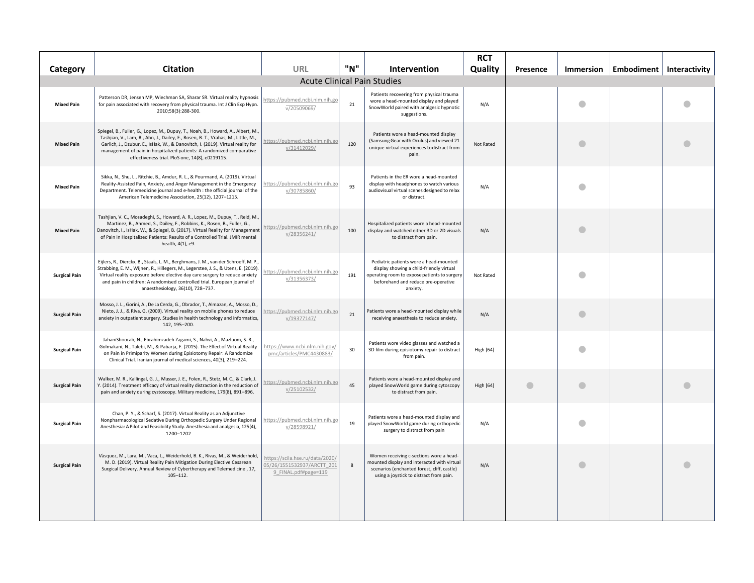| Category             | <b>Citation</b>                                                                                                                                                                                                                                                                                                                                                                     | URL                                                                                   | "N" | <b>Intervention</b>                                                                                                                                                                   | <b>RCT</b><br>Quality | Presence  | Immersion | Embodiment   Interactivity |  |
|----------------------|-------------------------------------------------------------------------------------------------------------------------------------------------------------------------------------------------------------------------------------------------------------------------------------------------------------------------------------------------------------------------------------|---------------------------------------------------------------------------------------|-----|---------------------------------------------------------------------------------------------------------------------------------------------------------------------------------------|-----------------------|-----------|-----------|----------------------------|--|
|                      |                                                                                                                                                                                                                                                                                                                                                                                     | <b>Acute Clinical Pain Studies</b>                                                    |     |                                                                                                                                                                                       |                       |           |           |                            |  |
| <b>Mixed Pain</b>    | Patterson DR, Jensen MP, Wiechman SA, Sharar SR. Virtual reality hypnosis<br>for pain associated with recovery from physical trauma. Int J Clin Exp Hypn.<br>2010;58(3):288-300.                                                                                                                                                                                                    | https://pubmed.ncbi.nlm.nih.go<br>V/20509069/                                         | 21  | Patients recovering from physical trauma<br>wore a head-mounted display and played<br>SnowWorld paired with analgesic hypnotic<br>suggestions.                                        | N/A                   |           | a         |                            |  |
| <b>Mixed Pain</b>    | Spiegel, B., Fuller, G., Lopez, M., Dupuy, T., Noah, B., Howard, A., Albert, M.<br>Tashjian, V., Lam, R., Ahn, J., Dailey, F., Rosen, B. T., Vrahas, M., Little, M.,<br>Garlich, J., Dzubur, E., IsHak, W., & Danovitch, I. (2019). Virtual reality for<br>management of pain in hospitalized patients: A randomized comparative<br>effectiveness trial. PloS one, 14(8), e0219115. | https://pubmed.ncbi.nlm.nih.go<br>v/31412029/                                         | 120 | Patients wore a head-mounted display<br>(Samsung Gear with Oculus) and viewed 21<br>unique virtual experiences to distract from<br>pain.                                              | Not Rated             |           | a         |                            |  |
| <b>Mixed Pain</b>    | Sikka, N., Shu, L., Ritchie, B., Amdur, R. L., & Pourmand, A. (2019). Virtual<br>Reality-Assisted Pain, Anxiety, and Anger Management in the Emergency<br>Department. Telemedicine journal and e-health : the official journal of the<br>American Telemedicine Association, 25(12), 1207-1215.                                                                                      | https://pubmed.ncbi.nlm.nih.go<br>v/30785860/                                         | 93  | Patients in the ER wore a head-mounted<br>display with headphones to watch various<br>audiovisual virtual scenes designed to relax<br>or distract.                                    | N/A                   |           | 4         |                            |  |
| <b>Mixed Pain</b>    | Tashjian, V. C., Mosadeghi, S., Howard, A. R., Lopez, M., Dupuy, T., Reid, M.<br>Martinez, B., Ahmed, S., Dailey, F., Robbins, K., Rosen, B., Fuller, G.,<br>Danovitch, I., IsHak, W., & Spiegel, B. (2017). Virtual Reality for Management<br>of Pain in Hospitalized Patients: Results of a Controlled Trial. JMIR mental<br>health, 4(1), e9.                                    | https://pubmed.ncbi.nlm.nih.go<br>v/28356241/                                         | 100 | Hospitalized patients wore a head-mounted<br>display and watched either 3D or 2D visuals<br>to distract from pain.                                                                    | N/A                   |           |           |                            |  |
| <b>Surgical Pain</b> | Eijlers, R., Dierckx, B., Staals, L. M., Berghmans, J. M., van der Schroeff, M. P.,<br>Strabbing, E. M., Wijnen, R., Hillegers, M., Legerstee, J. S., & Utens, E. (2019).<br>Virtual reality exposure before elective day care surgery to reduce anxiety<br>and pain in children: A randomised controlled trial. European journal of<br>anaesthesiology, 36(10), 728-737.           | https://pubmed.ncbi.nlm.nih.go<br>v/31356373/                                         | 191 | Pediatric patients wore a head-mounted<br>display showing a child-friendly virtual<br>operating room to expose patients to surgery<br>beforehand and reduce pre-operative<br>anxiety. | Not Rated             |           |           |                            |  |
| <b>Surgical Pain</b> | Mosso, J. L., Gorini, A., De La Cerda, G., Obrador, T., Almazan, A., Mosso, D.,<br>Nieto, J. J., & Riva, G. (2009). Virtual reality on mobile phones to reduce<br>anxiety in outpatient surgery. Studies in health technology and informatics,<br>142, 195-200.                                                                                                                     | https://pubmed.ncbi.nlm.nih.go<br>v/19377147/                                         | 21  | Patients wore a head-mounted display while<br>receiving anaesthesia to reduce anxiety.                                                                                                | N/A                   |           | $\bullet$ |                            |  |
| <b>Surgical Pain</b> | JahaniShoorab, N., Ebrahimzadeh Zagami, S., Nahvi, A., Mazluom, S. R.,<br>Golmakani, N., Talebi, M., & Pabarja, F. (2015). The Effect of Virtual Reality<br>on Pain in Primiparity Women during Episiotomy Repair: A Randomize<br>Clinical Trial. Iranian journal of medical sciences, 40(3), 219-224.                                                                              | https://www.ncbi.nlm.nih.gov/<br>pmc/articles/PMC4430883/                             | 30  | Patients wore video glasses and watched a<br>3D film during episiotomy repair to distract<br>from pain.                                                                               | <b>High [64]</b>      |           |           |                            |  |
| <b>Surgical Pain</b> | Walker, M. R., Kallingal, G. J., Musser, J. E., Folen, R., Stetz, M. C., & Clark, J.<br>Y. (2014). Treatment efficacy of virtual reality distraction in the reduction of<br>pain and anxiety during cystoscopy. Military medicine, 179(8), 891-896.                                                                                                                                 | https://pubmed.ncbi.nlm.nih.go<br>v/25102532/                                         | 45  | Patients wore a head-mounted display and<br>played SnowWorld game during cytoscopy<br>to distract from pain.                                                                          | <b>High [64]</b>      | $\bullet$ | $\bullet$ |                            |  |
| <b>Surgical Pain</b> | Chan, P. Y., & Scharf, S. (2017). Virtual Reality as an Adjunctive<br>Nonpharmacological Sedative During Orthopedic Surgery Under Regional<br>Anesthesia: A Pilot and Feasibility Study. Anesthesia and analgesia, 125(4),<br>1200-1202                                                                                                                                             | https://pubmed.ncbi.nlm.nih.gc<br>v/28598921/                                         | 19  | Patients wore a head-mounted display and<br>played SnowWorld game during orthopedic<br>surgery to distract from pain                                                                  | N/A                   |           |           |                            |  |
| <b>Surgical Pain</b> | Vàsquez, M., Lara, M., Vaca, L., Weiderhold, B. K., Rivas, M., & Weiderhold,<br>M. D. (2019). Virtual Reality Pain Mitigation During Elective Cesarean<br>Surgical Delivery. Annual Review of Cybertherapy and Telemedicine, 17,<br>$105 - 112.$                                                                                                                                    | https://scila.hse.ru/data/2020/<br>05/26/1551532937/ARCTT 201<br>9 FINAL.pdf#page=119 | 8   | Women receiving c-sections wore a head-<br>mounted display and interacted with virtual<br>scenarios (enchanted forest, cliff, castle)<br>using a joystick to distract from pain.      | N/A                   |           | a         |                            |  |
|                      |                                                                                                                                                                                                                                                                                                                                                                                     |                                                                                       |     |                                                                                                                                                                                       |                       |           |           |                            |  |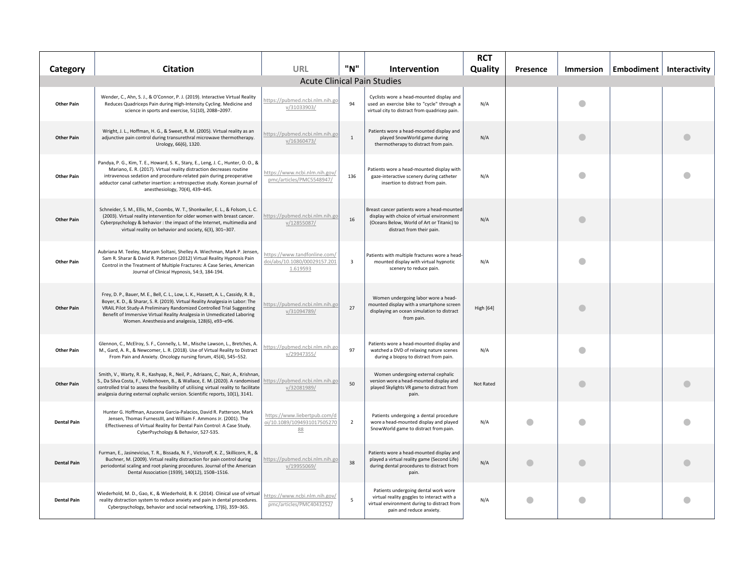| Category           | <b>Citation</b>                                                                                                                                                                                                                                                                                                                                                               | <b>URL</b>                                                               | "N"            | <b>Intervention</b>                                                                                                                                                 | <b>RCT</b><br>Quality | Presence  | <b>Immersion</b> | Embodiment   Interactivity |
|--------------------|-------------------------------------------------------------------------------------------------------------------------------------------------------------------------------------------------------------------------------------------------------------------------------------------------------------------------------------------------------------------------------|--------------------------------------------------------------------------|----------------|---------------------------------------------------------------------------------------------------------------------------------------------------------------------|-----------------------|-----------|------------------|----------------------------|
|                    |                                                                                                                                                                                                                                                                                                                                                                               | <b>Acute Clinical Pain Studies</b>                                       |                |                                                                                                                                                                     |                       |           |                  |                            |
| <b>Other Pain</b>  | Wender, C., Ahn, S. J., & O'Connor, P. J. (2019). Interactive Virtual Reality<br>Reduces Quadriceps Pain during High-Intensity Cycling. Medicine and<br>science in sports and exercise, 51(10), 2088-2097.                                                                                                                                                                    | https://pubmed.ncbi.nlm.nih.gc<br>v/31033903/                            | 94             | Cyclists wore a head-mounted display and<br>used an exercise bike to "cycle" through a<br>virtual city to distract from quadricep pain.                             | N/A                   |           |                  |                            |
| <b>Other Pain</b>  | Wright, J. L., Hoffman, H. G., & Sweet, R. M. (2005). Virtual reality as an<br>adjunctive pain control during transurethral microwave thermotherapy.<br>Urology, 66(6), 1320.                                                                                                                                                                                                 | https://pubmed.ncbi.nlm.nih.go<br>v/16360473/                            | $\mathbf{1}$   | Patients wore a head-mounted display and<br>played SnowWorld game during<br>thermotherapy to distract from pain.                                                    | N/A                   |           | a                |                            |
| <b>Other Pain</b>  | Pandya, P. G., Kim, T. E., Howard, S. K., Stary, E., Leng, J. C., Hunter, O. O., &<br>Mariano, E. R. (2017). Virtual reality distraction decreases routine<br>intravenous sedation and procedure-related pain during preoperative<br>adductor canal catheter insertion: a retrospective study. Korean journal of<br>anesthesiology, 70(4), 439-445.                           | https://www.ncbi.nlm.nih.gov/<br>pmc/articles/PMC5548947/                | 136            | Patients wore a head-mounted display with<br>gaze-interactive scenery during catheter<br>insertion to distract from pain.                                           | N/A                   |           |                  |                            |
| <b>Other Pain</b>  | Schneider, S. M., Ellis, M., Coombs, W. T., Shonkwiler, E. L., & Folsom, L. C.<br>(2003). Virtual reality intervention for older women with breast cancer.<br>Cyberpsychology & behavior : the impact of the Internet, multimedia and<br>virtual reality on behavior and society, 6(3), 301-307.                                                                              | https://pubmed.ncbi.nlm.nih.go<br>v/12855087/                            | 16             | Breast cancer patients wore a head-mounted<br>display with choice of virtual environment<br>(Oceans Below, World of Art or Titanic) to<br>distract from their pain. | N/A                   |           | a                |                            |
| <b>Other Pain</b>  | Aubriana M. Teeley, Maryam Soltani, Shelley A. Wiechman, Mark P. Jensen,<br>Sam R. Sharar & David R. Patterson (2012) Virtual Reality Hypnosis Pain<br>Control in the Treatment of Multiple Fractures: A Case Series, American<br>Journal of Clinical Hypnosis, 54:3, 184-194.                                                                                                | https://www.tandfonline.com/<br>doi/abs/10.1080/00029157.201<br>1.619593 | $\overline{3}$ | Patients with multiple fractures wore a head-<br>mounted display with virtual hypnotic<br>scenery to reduce pain.                                                   | N/A                   |           |                  |                            |
| <b>Other Pain</b>  | Frey, D. P., Bauer, M. E., Bell, C. L., Low, L. K., Hassett, A. L., Cassidy, R. B.,<br>Boyer, K. D., & Sharar, S. R. (2019). Virtual Reality Analgesia in Labor: The<br>VRAIL Pilot Study-A Preliminary Randomized Controlled Trial Suggesting<br>Benefit of Immersive Virtual Reality Analgesia in Unmedicated Laboring<br>Women. Anesthesia and analgesia, 128(6), e93-e96. | ittps://pubmed.ncbi.nlm.nih.gc<br>v/31094789/                            | 27             | Women undergoing labor wore a head-<br>mounted display with a smartphone screen<br>displaying an ocean simulation to distract<br>from pain.                         | <b>High [64]</b>      |           |                  |                            |
| <b>Other Pain</b>  | Glennon, C., McElroy, S. F., Connelly, L. M., Mische Lawson, L., Bretches, A.<br>M., Gard, A. R., & Newcomer, L. R. (2018). Use of Virtual Reality to Distract<br>From Pain and Anxiety. Oncology nursing forum, 45(4), 545-552.                                                                                                                                              | https://pubmed.ncbi.nlm.nih.gc<br>v/29947355/                            | 97             | Patients wore a head-mounted display and<br>watched a DVD of relaxing nature scenes<br>during a biopsy to distract from pain.                                       | N/A                   |           | a                |                            |
| <b>Other Pain</b>  | Smith, V., Warty, R. R., Kashyap, R., Neil, P., Adriaans, C., Nair, A., Krishnan<br>S., Da Silva Costa, F., Vollenhoven, B., & Wallace, E. M. (2020). A randomised https://pubmed.ncbi.nlm.nih.go<br>controlled trial to assess the feasibility of utilising virtual reality to facilitate<br>analgesia during external cephalic version. Scientific reports, 10(1), 3141.    | v/32081989/                                                              | 50             | Women undergoing external cephalic<br>version wore a head-mounted display and<br>played Skylights VR game to distract from<br>pain.                                 | Not Rated             |           | a                |                            |
| <b>Dental Pain</b> | Hunter G. Hoffman, Azucena Garcia-Palacios, David R. Patterson, Mark<br>Jensen, Thomas FurnessIII, and William F. Ammons Jr. (2001). The<br>Effectiveness of Virtual Reality for Dental Pain Control: A Case Study.<br>CyberPsychology & Behavior, 527-535.                                                                                                                   | https://www.liebertpub.com/d<br>oi/10.1089/1094931017505270<br>88        | $\overline{2}$ | Patients undergoing a dental procedure<br>wore a head-mounted display and played<br>SnowWorld game to distract from pain.                                           | N/A                   |           |                  |                            |
| <b>Dental Pain</b> | Furman, E., Jasinevicius, T. R., Bissada, N. F., Victoroff, K. Z., Skillicorn, R., &<br>Buchner, M. (2009). Virtual reality distraction for pain control during<br>periodontal scaling and root planing procedures. Journal of the American<br>Dental Association (1939), 140(12), 1508-1516.                                                                                 | https://pubmed.ncbi.nlm.nih.go<br>v/19955069/                            | 38             | Patients wore a head-mounted display and<br>played a virtual reality game (Second Life)<br>during dental procedures to distract from<br>pain.                       | N/A                   | $\bullet$ | a                |                            |
| <b>Dental Pain</b> | Wiederhold, M. D., Gao, K., & Wiederhold, B. K. (2014). Clinical use of virtual<br>reality distraction system to reduce anxiety and pain in dental procedures.<br>Cyberpsychology, behavior and social networking, 17(6), 359-365.                                                                                                                                            | https://www.ncbi.nlm.nih.gov/<br>pmc/articles/PMC4043252/                | 5              | Patients undergoing dental work wore<br>virtual reality goggles to interact with a<br>virtual environment during to distract from<br>pain and reduce anxiety.       | N/A                   | $\bullet$ | a                |                            |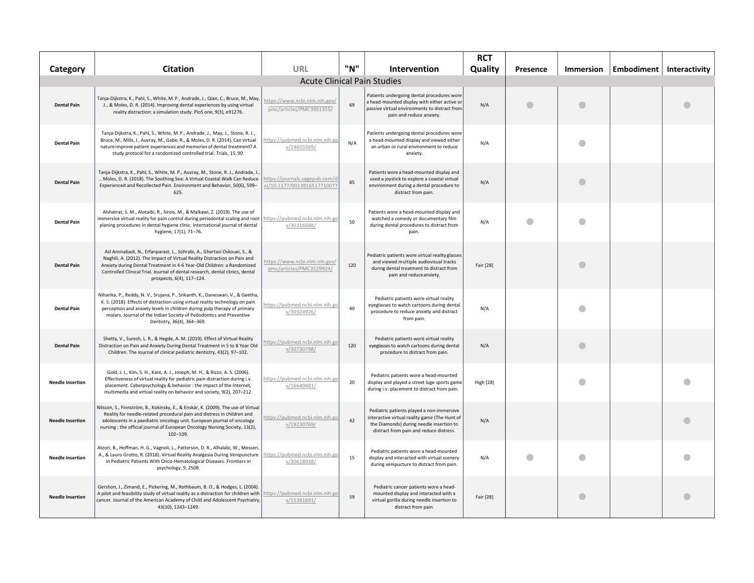| Category                | <b>Citation</b>                                                                                                                                                                                                                                                                                                                                   | URL                                                           | "N" | Intervention                                                                                                                                                                      | <b>RCT</b><br>Quality | Presence | Immersion | Embodiment   Interactivity |  |
|-------------------------|---------------------------------------------------------------------------------------------------------------------------------------------------------------------------------------------------------------------------------------------------------------------------------------------------------------------------------------------------|---------------------------------------------------------------|-----|-----------------------------------------------------------------------------------------------------------------------------------------------------------------------------------|-----------------------|----------|-----------|----------------------------|--|
|                         |                                                                                                                                                                                                                                                                                                                                                   | <b>Acute Clinical Pain Studies</b>                            |     |                                                                                                                                                                                   |                       |          |           |                            |  |
| <b>Dental Pain</b>      | Tanja-Dijkstra, K., Pahl, S., White, M. P., Andrade, J., Qian, C., Bruce, M., May,<br>J., & Moles, D. R. (2014). Improving dental experiences by using virtual<br>reality distraction: a simulation study. PloS one, 9(3), e91276.                                                                                                                | https://www.ncbi.nlm.nih.gov/<br>pmc/articles/PMC3951355/     | 69  | Patients undergoing dental procedures wore<br>a head-mounted display with either active or<br>passive virtual environments to distract from<br>pain and reduce anxiety.           | N/A                   |          |           |                            |  |
| <b>Dental Pain</b>      | Tanja-Dijkstra, K., Pahl, S., White, M. P., Andrade, J., May, J., Stone, R. J.,<br>Bruce, M., Mills, I., Auvray, M., Gabe, R., & Moles, D. R. (2014). Can virtual<br>nature improve patient experiences and memories of dental treatment? A<br>study protocol for a randomized controlled trial. Trials, 15,90.                                   | https://pubmed.ncbi.nlm.nih.go<br>v/24655569/                 | N/A | Patients undergoing dental procedures wore<br>a head-mounted display and viewed either<br>an urban or rural environment to reduce<br>anxiety.                                     | N/A                   |          | €         |                            |  |
| <b>Dental Pain</b>      | Tanja-Dijkstra, K., Pahl, S., White, M. P., Auvray, M., Stone, R. J., Andrade, J.<br>Moles, D. R. (2018). The Soothing Sea: A Virtual Coastal Walk Can Reduce<br>Experienced and Recollected Pain. Environment and Behavior, 50(6), 599-<br>625.                                                                                                  | https://journals.sagepub.com/d<br>oi/10.1177/0013916517710077 | 85  | Patients wore a head-mounted display and<br>used a joystick to explore a coastal virtual<br>environment during a dental procedure to<br>distract from pain.                       | N/A                   |          |           |                            |  |
| <b>Dental Pain</b>      | Alshatrat, S. M., Alotaibi, R., Sirois, M., & Malkawi, Z. (2019). The use of<br>immersive virtual reality for pain control during periodontal scaling and root<br>planing procedures in dental hygiene clinic. International journal of dental<br>hygiene, 17(1), 71-76.                                                                          | https://pubmed.ncbi.nlm.nih.go<br>v/30216688/                 | 50  | Patients wore a head-mounted display and<br>watched a comedy or documentary film<br>during dental procedures to distract from<br>pain.                                            | N/A                   |          |           |                            |  |
| <b>Dental Pain</b>      | Asl Aminabadi, N., Erfanparast, L., Sohrabi, A., Ghertasi Oskouei, S., &<br>Naghili, A. (2012). The Impact of Virtual Reality Distraction on Pain and<br>Anxiety during Dental Treatment in 4-6 Year-Old Children: a Randomized<br>Controlled Clinical Trial. Journal of dental research, dental clinics, dental<br>prospects, 6(4), 117-124.     | https://www.ncbi.nlm.nih.gov/<br>pmc/articles/PMC3529924/     | 120 | Pediatric patients wore virtual reality glasses<br>and viewed multiple audiovisual tracks<br>during dental treatment to distract from<br>pain and reduce anxiety.                 | Fair [28]             |          |           |                            |  |
| <b>Dental Pain</b>      | Niharika, P., Reddy, N. V., Srujana, P., Srikanth, K., Daneswari, V., & Geetha,<br>K. S. (2018). Effects of distraction using virtual reality technology on pain<br>perception and anxiety levels in children during pulp therapy of primary<br>molars. Journal of the Indian Society of Pedodontics and Preventive<br>Dentistry, 36(4), 364-369. | https://pubmed.ncbi.nlm.nih.go<br>v/30324926/                 | 40  | Pediatric patients wore virtual reality<br>eyeglasses to watch cartoons during dental<br>procedure to reduce anxiety and distract<br>from pain.                                   | N/A                   |          |           |                            |  |
| <b>Dental Pain</b>      | Shetty, V., Suresh, L. R., & Hegde, A. M. (2019). Effect of Virtual Reality<br>Distraction on Pain and Anxiety During Dental Treatment in 5 to 8 Year Old<br>Children. The Journal of clinical pediatric dentistry, 43(2), 97-102.                                                                                                                | https://pubmed.ncbi.nlm.nih.go<br>v/30730798/                 | 120 | Pediatric patients wore virtual reality<br>eyeglasses to watch cartoons during dental<br>procedure to distract from pain.                                                         | N/A                   |          | a         |                            |  |
| <b>Needle Insertion</b> | Gold, J. I., Kim, S. H., Kant, A. J., Joseph, M. H., & Rizzo, A. S. (2006).<br>Effectiveness of virtual reality for pediatric pain distraction during i.v.<br>placement. Cyberpsychology & behavior : the impact of the Internet,<br>multimedia and virtual reality on behavior and society, 9(2), 207-212.                                       | https://pubmed.ncbi.nlm.nih.go<br>v/16640481/                 | 20  | Pediatric patients wore a head-mounted<br>display and played a street luge sports game<br>during i.v. placement to distract from pain.                                            | <b>High [28]</b>      |          |           |                            |  |
| <b>Needle Insertion</b> | Nilsson, S., Finnström, B., Kokinsky, E., & Enskär, K. (2009). The use of Virtual<br>Reality for needle-related procedural pain and distress in children and<br>adolescents in a paediatric oncology unit. European journal of oncology<br>nursing : the official journal of European Oncology Nursing Society, 13(2),<br>$102 - 109.$            | https://pubmed.ncbi.nlm.nih.go<br>v/19230769/                 | 42  | Pediatric patients played a non-immersive<br>interactive virtual reality game (The Hunt of<br>the Diamonds) during needle insertion to<br>distract from pain and reduce distress. | N/A                   |          |           |                            |  |
| <b>Needle Insertion</b> | Atzori, B., Hoffman, H. G., Vagnoli, L., Patterson, D. R., Alhalabi, W., Messeri,<br>A., & Lauro Grotto, R. (2018). Virtual Reality Analgesia During Venipuncture<br>in Pediatric Patients With Onco-Hematological Diseases. Frontiers in<br>psychology, 9, 2508.                                                                                 | https://pubmed.ncbi.nlm.nih.go<br>v/30618938/                 | 15  | Pediatric patients wore a head-mounted<br>display and interacted with virtual scenery<br>during venipucture to distract from pain.                                                | N/A                   |          |           |                            |  |
| <b>Needle Insertion</b> | Gershon, J., Zimand, E., Pickering, M., Rothbaum, B. O., & Hodges, L. (2004)<br>A pilot and feasibility study of virtual reality as a distraction for children with<br>cancer. Journal of the American Academy of Child and Adolescent Psychiatry,<br>43(10), 1243-1249.                                                                          | https://pubmed.ncbi.nlm.nih.go<br>v/15381891/                 | 59  | Pediatric cancer patients wore a head-<br>mounted display and interacted with a<br>virtual gorilla during needle insertion to<br>distract from pain.                              | Fair [28]             |          | e         |                            |  |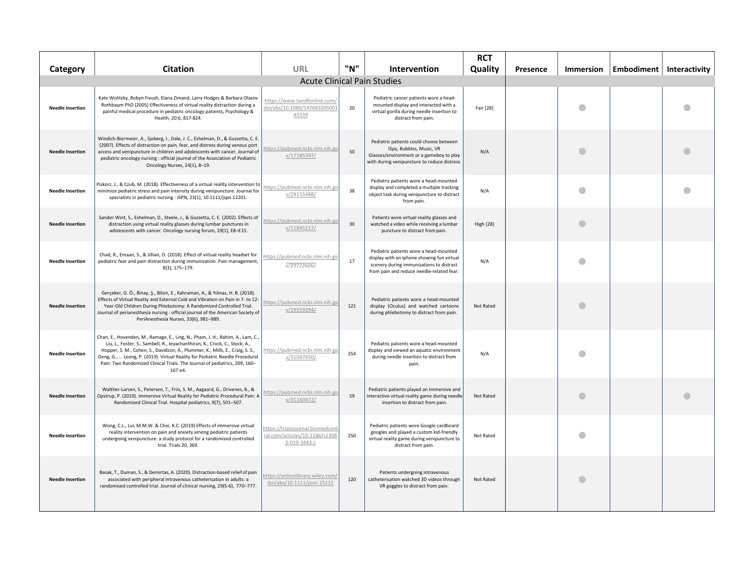|                         | <b>Citation</b>                                                                                                                                                                                                                                                                                                                                                                                                         | URL                                                                              | "N" | Intervention                                                                                                                                                                  | <b>RCT</b><br>Quality |          |                  |            |               |
|-------------------------|-------------------------------------------------------------------------------------------------------------------------------------------------------------------------------------------------------------------------------------------------------------------------------------------------------------------------------------------------------------------------------------------------------------------------|----------------------------------------------------------------------------------|-----|-------------------------------------------------------------------------------------------------------------------------------------------------------------------------------|-----------------------|----------|------------------|------------|---------------|
| Category                |                                                                                                                                                                                                                                                                                                                                                                                                                         |                                                                                  |     | <b>Acute Clinical Pain Studies</b>                                                                                                                                            |                       | Presence | <b>Immersion</b> | Embodiment | Interactivity |
| <b>Needle Insertion</b> | Kate Wolitzky, Robyn Fivush, Elana Zimand, Larry Hodges & Barbara Olasov<br>Rothbaum PhD (2005) Effectiveness of virtual reality distraction during a<br>painful medical procedure in pediatric oncology patients, Psychology &<br>Health, 20:6, 817-824.                                                                                                                                                               | https://www.tandfonline.com/<br>doi/abs/10.1080/147683205001<br>43339            | 20  | Pediatric cancer patients wore a head-<br>mounted display and interacted with a<br>virtual gorilla during needle insertion to<br>distract from pain.                          | Fair [28]             |          |                  |            |               |
| <b>Needle Insertion</b> | Windich-Biermeier, A., Sjoberg, I., Dale, J. C., Eshelman, D., & Guzzetta, C. E.<br>(2007). Effects of distraction on pain, fear, and distress during venous port<br>access and venipuncture in children and adolescents with cancer. Journal of<br>pediatric oncology nursing : official journal of the Association of Pediatric<br>Oncology Nurses, 24(1), 8-19.                                                      | https://pubmed.ncbi.nlm.nih.go<br>v/17185397/                                    | 50  | Pediatric patients could choose between<br>ISpy, Bubbles, Music, VR<br>Glasses/environment or a gameboy to play<br>with during venipuncture to reduce distress.               | N/A                   |          |                  |            |               |
| <b>Needle Insertion</b> | Piskorz, J., & Czub, M. (2018). Effectiveness of a virtual reality intervention to<br>minimize pediatric stress and pain intensity during venipuncture. Journal for<br>specialists in pediatric nursing : JSPN, 23(1), 10.1111/jspn.12201.                                                                                                                                                                              | https://pubmed.ncbi.nlm.nih.go<br>v/29155488/                                    | 38  | Pediatric patients wore a head-mounted<br>display and completed a multiple tracking<br>object task during venipuncture to distract<br>from pain.                              | N/A                   |          |                  |            |               |
| <b>Needle Insertion</b> | Sander Wint, S., Eshelman, D., Steele, J., & Guzzetta, C. E. (2002). Effects of<br>distraction using virtual reality glasses during lumbar punctures in<br>adolescents with cancer. Oncology nursing forum, 29(1), E8-E15.                                                                                                                                                                                              | nttps://pubmed.ncbi.nlm.nih.go<br>v/11845217/                                    | 30  | Patients wore virtual reality glasses and<br>watched a video while receiving a lumbar<br>puncture to distract from pain.                                                      | <b>High [28]</b>      |          | O                |            |               |
| <b>Needle Insertion</b> | Chad, R., Emaan, S., & Jillian, O. (2018). Effect of virtual reality headset for<br>pediatric fear and pain distraction during immunization. Pain management,<br>8(3), 175-179.                                                                                                                                                                                                                                         | https://pubmed.ncbi.nlm.nih.go<br>V/29722606/                                    | 17  | Pediatric patients wore a head-mounted<br>display with an Iphone showing fun virtual<br>scenery during immunizations to distract<br>from pain and reduce needle-related fear. | N/A                   |          |                  |            |               |
| <b>Needle Insertion</b> | Gerçeker, G. Ö., Binay, Ş., Bilsin, E., Kahraman, A., & Yılmaz, H. B. (2018).<br>Effects of Virtual Reality and External Cold and Vibration on Pain in 7- to 12-<br>Year-Old Children During Phlebotomy: A Randomized Controlled Trial.<br>Journal of perianesthesia nursing : official journal of the American Society of<br>PeriAnesthesia Nurses, 33(6), 981-989.                                                    | https://pubmed.ncbi.nlm.nih.go<br>v/29559294/                                    | 121 | Pediatric patients wore a head-mounted<br>display (Oculus) and watched cartoons<br>during phlebotomy to distract from pain.                                                   | Not Rated             |          |                  |            |               |
| <b>Needle Insertion</b> | Chan, E., Hovenden, M., Ramage, E., Ling, N., Pham, J. H., Rahim, A., Lam, C.,<br>Liu, L., Foster, S., Sambell, R., Jeyachanthiran, K., Crock, C., Stock, A.,<br>Hopper, S. M., Cohen, S., Davidson, A., Plummer, K., Mills, E., Craig, S. S.,<br>Deng, G.,  Leong, P. (2019). Virtual Reality for Pediatric Needle Procedural<br>Pain: Two Randomized Clinical Trials. The Journal of pediatrics, 209, 160-<br>167.e4. | https://pubmed.ncbi.nlm.nih.go<br>v/31047650/                                    | 254 | Pediatric patients wore a head-mounted<br>display and viewed an aquatic environment<br>during needle insertion to distract from<br>pain.                                      | N/A                   |          |                  |            |               |
| <b>Needle Insertion</b> | Walther-Larsen, S., Petersen, T., Friis, S. M., Aagaard, G., Drivenes, B., &<br>Opstrup, P. (2019). Immersive Virtual Reality for Pediatric Procedural Pain: A<br>Randomized Clinical Trial. Hospital pediatrics, 9(7), 501-507.                                                                                                                                                                                        | https://pubmed.ncbi.nlm.nih.go<br>v/31160472/                                    | 59  | Pediatric patients played an Immersive and<br>interactive virtual reality game during needle<br>insertion to distract from pain.                                              | Not Rated             |          | O                |            |               |
| <b>Needle Insertion</b> | Wong, C.L., Lui, M.M.W. & Choi, K.C. (2019) Effects of immersive virtual<br>reality intervention on pain and anxiety among pediatric patients<br>undergoing venipuncture: a study protocol for a randomized controlled<br>trial. Trials 20, 369.                                                                                                                                                                        | https://trialsiournal.biomedcen<br>ral.com/articles/10.1186/s130<br>3-019-3443-z | 250 | Pediatric patients wore Google cardboard<br>googles and played a custom kid-friendly<br>virtual reality game during venipuncture to<br>distract from pain.                    | Not Rated             |          |                  |            |               |
| <b>Needle Insertion</b> | Basak, T., Duman, S., & Demirtas, A. (2020). Distraction-based relief of pain<br>associated with peripheral intravenous catheterisation in adults: a<br>randomised controlled trial. Journal of clinical nursing, 29(5-6), 770-777.                                                                                                                                                                                     | ttps://onlinelibrary.wiley.com<br>doi/abs/10.1111/jocn.15131                     | 120 | Patients undergoing intravenous<br>catheterisation watched 3D videos through<br>VR goggles to distract from pain.                                                             | Not Rated             |          |                  |            |               |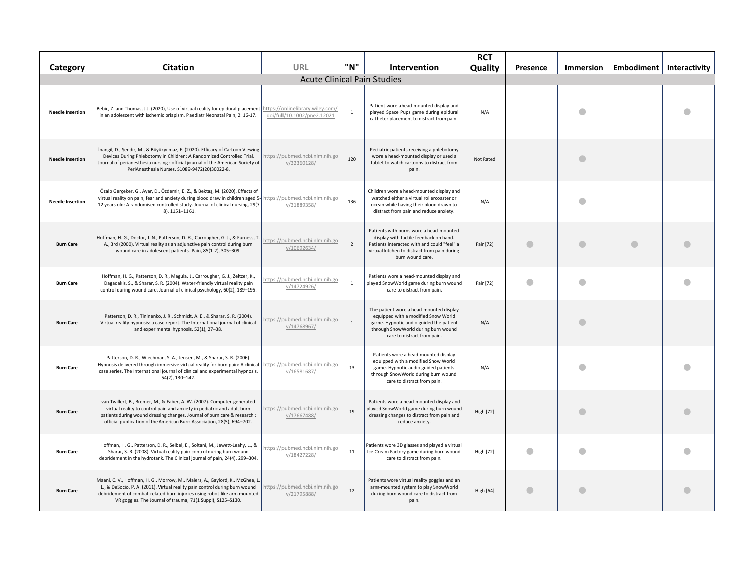| Category                | <b>Citation</b>                                                                                                                                                                                                                                                                                           | URL                                           | "N"            | Intervention                                                                                                                                                                                         | <b>RCT</b><br>Quality | Presence  | <b>Immersion</b> | Embodiment   Interactivity |  |
|-------------------------|-----------------------------------------------------------------------------------------------------------------------------------------------------------------------------------------------------------------------------------------------------------------------------------------------------------|-----------------------------------------------|----------------|------------------------------------------------------------------------------------------------------------------------------------------------------------------------------------------------------|-----------------------|-----------|------------------|----------------------------|--|
|                         |                                                                                                                                                                                                                                                                                                           | <b>Acute Clinical Pain Studies</b>            |                |                                                                                                                                                                                                      |                       |           |                  |                            |  |
| <b>Needle Insertion</b> | Bebic, Z. and Thomas, J.J. (2020), Use of virtual reality for epidural placement https://onlinelibrary.wiley.com,<br>in an adolescent with ischemic priapism. Paediatr Neonatal Pain, 2: 16-17.                                                                                                           | doi/full/10.1002/pne2.12021                   | $\mathbf{1}$   | Patient wore ahead-mounted display and<br>played Space Pups game during epidural<br>catheter placement to distract from pain.                                                                        | N/A                   |           |                  |                            |  |
| <b>Needle Insertion</b> | İnangil, D., Şendir, M., & Büyükyılmaz, F. (2020). Efficacy of Cartoon Viewing<br>Devices During Phlebotomy in Children: A Randomized Controlled Trial.<br>Journal of perianesthesia nursing : official journal of the American Society of<br>PeriAnesthesia Nurses, S1089-9472(20)30022-8.               | https://pubmed.ncbi.nlm.nih.go<br>v/32360128/ | 120            | Pediatric patients receiving a phlebotomy<br>wore a head-mounted display or used a<br>tablet to watch cartoons to distract from<br>pain.                                                             | Not Rated             |           | $\blacksquare$   |                            |  |
| <b>Needle Insertion</b> | Özalp Gerçeker, G., Ayar, D., Özdemir, E. Z., & Bektaş, M. (2020). Effects of<br>virtual reality on pain, fear and anxiety during blood draw in children aged 5-<br>12 years old: A randomised controlled study. Journal of clinical nursing, 29(7-<br>8), 1151-1161.                                     | https://pubmed.ncbi.nlm.nih.go<br>v/31889358/ | 136            | Children wore a head-mounted display and<br>watched either a virtual rollercoaster or<br>ocean while having their blood drawn to<br>distract from pain and reduce anxiety.                           | N/A                   |           |                  |                            |  |
| <b>Burn Care</b>        | Hoffman, H. G., Doctor, J. N., Patterson, D. R., Carrougher, G. J., & Furness, T<br>A., 3rd (2000). Virtual reality as an adjunctive pain control during burn<br>wound care in adolescent patients. Pain, 85(1-2), 305-309.                                                                               | https://pubmed.ncbi.nlm.nih.go<br>v/10692634/ | $\overline{z}$ | Patients with burns wore a head-mounted<br>display with tactile feedback on hand.<br>Patients interacted with and could "feel" a<br>virtual kitchen to distract from pain during<br>burn wound care. | Fair [72]             | $\bullet$ |                  |                            |  |
| <b>Burn Care</b>        | Hoffman, H. G., Patterson, D. R., Magula, J., Carrougher, G. J., Zeltzer, K.,<br>Dagadakis, S., & Sharar, S. R. (2004). Water-friendly virtual reality pain<br>control during wound care. Journal of clinical psychology, 60(2), 189-195.                                                                 | https://pubmed.ncbi.nlm.nih.go<br>v/14724926/ | $\overline{1}$ | Patients wore a head-mounted display and<br>played SnowWorld game during burn wound<br>care to distract from pain.                                                                                   | Fair [72]             | $\bullet$ | O                |                            |  |
| <b>Burn Care</b>        | Patterson, D. R., Tininenko, J. R., Schmidt, A. E., & Sharar, S. R. (2004).<br>Virtual reality hypnosis: a case report. The International journal of clinical<br>and experimental hypnosis, 52(1), 27-38.                                                                                                 | https://pubmed.ncbi.nlm.nih.go<br>v/14768967/ | $\overline{1}$ | The patient wore a head-mounted display<br>equipped with a modified Snow World<br>game. Hypnotic audio guided the patient<br>through SnowWorld during burn wound<br>care to distract from pain.      | N/A                   |           |                  |                            |  |
| <b>Burn Care</b>        | Patterson, D. R., Wiechman, S. A., Jensen, M., & Sharar, S. R. (2006).<br>Hypnosis delivered through immersive virtual reality for burn pain: A clinical<br>case series. The International journal of clinical and experimental hypnosis,<br>54(2), 130-142.                                              | https://pubmed.ncbi.nlm.nih.go<br>v/16581687/ | 13             | Patients wore a head-mounted display<br>equipped with a modified Snow World<br>game. Hypnotic audio guided patients<br>through SnowWorld during burn wound<br>care to distract from pain.            | N/A                   |           |                  |                            |  |
| <b>Burn Care</b>        | van Twillert, B., Bremer, M., & Faber, A. W. (2007). Computer-generated<br>virtual reality to control pain and anxiety in pediatric and adult burn<br>patients during wound dressing changes. Journal of burn care & research :<br>official publication of the American Burn Association, 28(5), 694-702. | https://pubmed.ncbi.nlm.nih.go<br>v/17667488/ | 19             | Patients wore a head-mounted display and<br>played SnowWorld game during burn wound<br>dressing changes to distract from pain and<br>reduce anxiety.                                                 | <b>High [72]</b>      |           |                  |                            |  |
| <b>Burn Care</b>        | Hoffman, H. G., Patterson, D. R., Seibel, E., Soltani, M., Jewett-Leahy, L., &<br>Sharar, S. R. (2008). Virtual reality pain control during burn wound<br>debridement in the hydrotank. The Clinical journal of pain, 24(4), 299-304.                                                                     | nttps://pubmed.ncbi.nlm.nih.go<br>v/18427228/ | 11             | Patients wore 3D glasses and played a virtual<br>Ice Cream Factory game during burn wound<br>care to distract from pain.                                                                             | High [72]             | $\bullet$ |                  |                            |  |
| <b>Burn Care</b>        | Maani, C. V., Hoffman, H. G., Morrow, M., Maiers, A., Gaylord, K., McGhee, L<br>L., & DeSocio, P. A. (2011). Virtual reality pain control during burn wound<br>debridement of combat-related burn injuries using robot-like arm mounted<br>VR goggles. The Journal of trauma, 71(1 Suppl), S125-S130.     | nttps://pubmed.ncbi.nlm.nih.go<br>v/21795888/ | 12             | Patients wore virtual reality goggles and an<br>arm-mounted system to play SnowWorld<br>during burn wound care to distract from<br>pain.                                                             | <b>High [64]</b>      | $\bullet$ |                  |                            |  |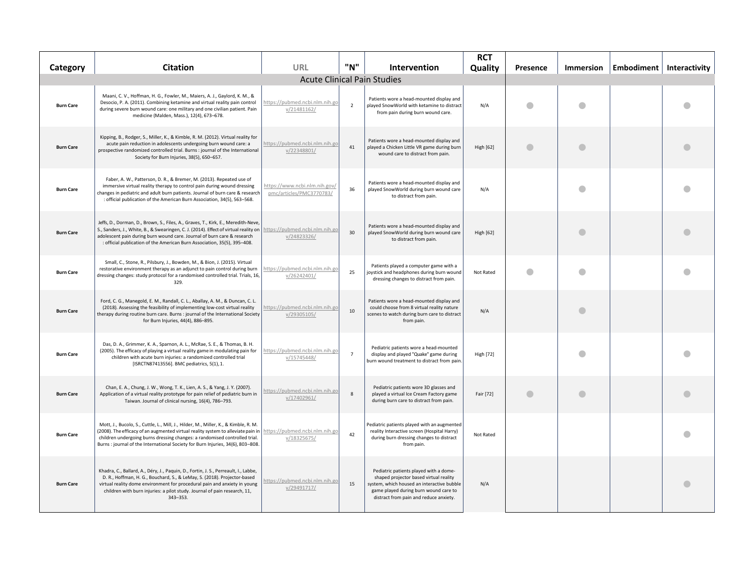| Category                           | <b>Citation</b>                                                                                                                                                                                                                                                                                                                                                         | URL                                                       | "N"            | Intervention                                                                                                                                                                                                      | <b>RCT</b><br>Quality | Presence  | <b>Immersion</b> | Embodiment | <b>Interactivity</b> |
|------------------------------------|-------------------------------------------------------------------------------------------------------------------------------------------------------------------------------------------------------------------------------------------------------------------------------------------------------------------------------------------------------------------------|-----------------------------------------------------------|----------------|-------------------------------------------------------------------------------------------------------------------------------------------------------------------------------------------------------------------|-----------------------|-----------|------------------|------------|----------------------|
| <b>Acute Clinical Pain Studies</b> |                                                                                                                                                                                                                                                                                                                                                                         |                                                           |                |                                                                                                                                                                                                                   |                       |           |                  |            |                      |
| <b>Burn Care</b>                   | Maani, C. V., Hoffman, H. G., Fowler, M., Maiers, A. J., Gaylord, K. M., &<br>Desocio, P. A. (2011). Combining ketamine and virtual reality pain control<br>during severe burn wound care: one military and one civilian patient. Pain<br>medicine (Malden, Mass.), 12(4), 673-678.                                                                                     | https://pubmed.ncbi.nlm.nih.gc<br>v/21481162/             | $\overline{z}$ | Patients wore a head-mounted display and<br>played SnowWorld with ketamine to distract<br>from pain during burn wound care.                                                                                       | N/A                   | $\bullet$ | O                |            | O                    |
| <b>Burn Care</b>                   | Kipping, B., Rodger, S., Miller, K., & Kimble, R. M. (2012). Virtual reality for<br>acute pain reduction in adolescents undergoing burn wound care: a<br>prospective randomized controlled trial. Burns : journal of the International<br>Society for Burn Injuries, 38(5), 650-657.                                                                                    | https://pubmed.ncbi.nlm.nih.go<br>v/22348801/             | 41             | Patients wore a head-mounted display and<br>played a Chicken Little VR game during burn<br>wound care to distract from pain.                                                                                      | High [62]             | $\bullet$ | $\mathbf \Omega$ |            |                      |
| <b>Burn Care</b>                   | Faber, A. W., Patterson, D. R., & Bremer, M. (2013). Repeated use of<br>immersive virtual reality therapy to control pain during wound dressing<br>changes in pediatric and adult burn patients. Journal of burn care & research<br>: official publication of the American Burn Association, 34(5), 563-568.                                                            | https://www.ncbi.nlm.nih.gov/<br>pmc/articles/PMC3770783/ | 36             | Patients wore a head-mounted display and<br>played SnowWorld during burn wound care<br>to distract from pain.                                                                                                     | N/A                   |           |                  |            |                      |
| <b>Burn Care</b>                   | Jeffs, D., Dorman, D., Brown, S., Files, A., Graves, T., Kirk, E., Meredith-Neve,<br>S., Sanders, J., White, B., & Swearingen, C. J. (2014). Effect of virtual reality on https://pubmed.ncbi.nlm.nih.go<br>adolescent pain during burn wound care. Journal of burn care & research<br>: official publication of the American Burn Association, 35(5), 395-408.         | v/24823326/                                               | 30             | Patients wore a head-mounted display and<br>played SnowWorld during burn wound care<br>to distract from pain.                                                                                                     | <b>High [62]</b>      |           |                  |            |                      |
| <b>Burn Care</b>                   | Small, C., Stone, R., Pilsbury, J., Bowden, M., & Bion, J. (2015). Virtual<br>restorative environment therapy as an adjunct to pain control during burn<br>dressing changes: study protocol for a randomised controlled trial. Trials, 16,<br>329.                                                                                                                      | https://pubmed.ncbi.nlm.nih.go<br>v/26242401/             | 25             | Patients played a computer game with a<br>joystick and headphones during burn wound<br>dressing changes to distract from pain.                                                                                    | Not Rated             | $\bullet$ | O                |            |                      |
| <b>Burn Care</b>                   | Ford, C. G., Manegold, E. M., Randall, C. L., Aballay, A. M., & Duncan, C. L.<br>(2018). Assessing the feasibility of implementing low-cost virtual reality<br>therapy during routine burn care. Burns : journal of the International Society<br>for Burn Injuries, 44(4), 886-895.                                                                                     | https://pubmed.ncbi.nlm.nih.go<br>v/29305105/             | 10             | Patients wore a head-mounted display and<br>could choose from 8 virtual reality nature<br>scenes to watch during burn care to distract<br>from pain.                                                              | N/A                   |           |                  |            |                      |
| <b>Burn Care</b>                   | Das, D. A., Grimmer, K. A., Sparnon, A. L., McRae, S. E., & Thomas, B. H.<br>(2005). The efficacy of playing a virtual reality game in modulating pain for<br>children with acute burn injuries: a randomized controlled trial<br>[ISRCTN87413556]. BMC pediatrics, 5(1), 1.                                                                                            | https://pubmed.ncbi.nlm.nih.go<br>v/15745448/             | $\overline{7}$ | Pediatric patients wore a head-mounted<br>display and played "Quake" game during<br>burn wound treatment to distract from pain.                                                                                   | <b>High [72]</b>      |           |                  |            |                      |
| <b>Burn Care</b>                   | Chan, E. A., Chung, J. W., Wong, T. K., Lien, A. S., & Yang, J. Y. (2007).<br>Application of a virtual reality prototype for pain relief of pediatric burn in<br>Taiwan. Journal of clinical nursing, 16(4), 786-793.                                                                                                                                                   | nttps://pubmed.ncbi.nlm.nih.go<br>v/17402961/             | 8              | Pediatric patients wore 3D glasses and<br>played a virtual Ice Cream Factory game<br>during burn care to distract from pain.                                                                                      | Fair [72]             | $\bullet$ | $\bullet$        |            |                      |
| <b>Burn Care</b>                   | Mott, J., Bucolo, S., Cuttle, L., Mill, J., Hilder, M., Miller, K., & Kimble, R. M.<br>(2008). The efficacy of an augmented virtual reality system to alleviate pain in https://pubmed.ncbi.nlm.nih.go<br>children undergoing burns dressing changes: a randomised controlled trial.<br>Burns : journal of the International Society for Burn Injuries, 34(6), 803-808. | v/18325675/                                               | 42             | ediatric patients played with an augmented<br>reality Interactive screen (Hospital Harry)<br>during burn dressing changes to distract<br>from pain.                                                               | Not Rated             |           |                  |            |                      |
| <b>Burn Care</b>                   | Khadra, C., Ballard, A., Déry, J., Paquin, D., Fortin, J. S., Perreault, I., Labbe,<br>D. R., Hoffman, H. G., Bouchard, S., & LeMay, S. (2018). Projector-based<br>virtual reality dome environment for procedural pain and anxiety in young<br>children with burn injuries: a pilot study. Journal of pain research, 11,<br>343-353.                                   | https://pubmed.ncbi.nlm.nih.go<br>v/29491717/             | 15             | Pediatric patients played with a dome-<br>shaped projector based virtual reality<br>system, which housed an interactive bubble<br>game played during burn wound care to<br>distract from pain and reduce anxiety. | N/A                   |           |                  |            |                      |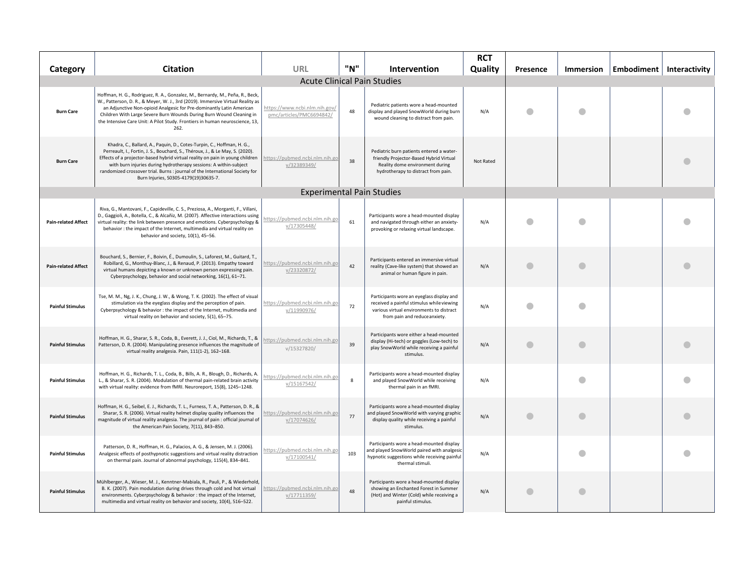| Category                   | <b>Citation</b>                                                                                                                                                                                                                                                                                                                                                                                                                        | <b>URL</b>                                                | "N"          | Intervention                                                                                                                                                       | <b>RCT</b><br>Quality | Presence | <b>Immersion</b> | Embodiment | Interactivity |
|----------------------------|----------------------------------------------------------------------------------------------------------------------------------------------------------------------------------------------------------------------------------------------------------------------------------------------------------------------------------------------------------------------------------------------------------------------------------------|-----------------------------------------------------------|--------------|--------------------------------------------------------------------------------------------------------------------------------------------------------------------|-----------------------|----------|------------------|------------|---------------|
|                            |                                                                                                                                                                                                                                                                                                                                                                                                                                        | <b>Acute Clinical Pain Studies</b>                        |              |                                                                                                                                                                    |                       |          |                  |            |               |
| <b>Burn Care</b>           | Hoffman, H. G., Rodriguez, R. A., Gonzalez, M., Bernardy, M., Peña, R., Beck,<br>W., Patterson, D. R., & Meyer, W. J., 3rd (2019). Immersive Virtual Reality as<br>an Adjunctive Non-opioid Analgesic for Pre-dominantly Latin American<br>Children With Large Severe Burn Wounds During Burn Wound Cleaning in<br>the Intensive Care Unit: A Pilot Study. Frontiers in human neuroscience, 13,<br>262.                                | https://www.ncbi.nlm.nih.gov/<br>pmc/articles/PMC6694842/ | 48           | Pediatric patients wore a head-mounted<br>display and played SnowWorld during burn<br>wound cleaning to distract from pain.                                        | N/A                   | a        |                  |            |               |
| <b>Burn Care</b>           | Khadra, C., Ballard, A., Paquin, D., Cotes-Turpin, C., Hoffman, H. G.,<br>Perreault, I., Fortin, J. S., Bouchard, S., Théroux, J., & Le May, S. (2020).<br>Effects of a projector-based hybrid virtual reality on pain in young children<br>with burn injuries during hydrotherapy sessions: A within-subject<br>randomized crossover trial. Burns : journal of the International Society for<br>Burn Injuries, S0305-4179(19)30635-7. | https://pubmed.ncbi.nlm.nih.go<br>v/32389349/             | 38           | Pediatric burn patients entered a water-<br>friendly Projector-Based Hybrid Virtual<br>Reality dome environment during<br>hydrotherapy to distract from pain.      | Not Rated             |          |                  |            |               |
|                            |                                                                                                                                                                                                                                                                                                                                                                                                                                        | <b>Experimental Pain Studies</b>                          |              |                                                                                                                                                                    |                       |          |                  |            |               |
| <b>Pain-related Affect</b> | Riva, G., Mantovani, F., Capideville, C. S., Preziosa, A., Morganti, F., Villani,<br>D., Gaggioli, A., Botella, C., & Alcañiz, M. (2007). Affective interactions using<br>virtual reality: the link between presence and emotions. Cyberpsychology &<br>behavior : the impact of the Internet, multimedia and virtual reality on<br>behavior and society, 10(1), 45-56.                                                                | https://pubmed.ncbi.nlm.nih.go<br>v/17305448/             | 61           | Participants wore a head-mounted display<br>and navigated through either an anxiety-<br>provoking or relaxing virtual landscape.                                   | N/A                   |          |                  |            |               |
| <b>Pain-related Affect</b> | Bouchard, S., Bernier, F., Boivin, É., Dumoulin, S., Laforest, M., Guitard, T.,<br>Robillard, G., Monthuy-Blanc, J., & Renaud, P. (2013). Empathy toward<br>virtual humans depicting a known or unknown person expressing pain.<br>Cyberpsychology, behavior and social networking, 16(1), 61-71.                                                                                                                                      | https://pubmed.ncbi.nlm.nih.go<br>v/23320872/             | 42           | Participants entered an immersive virtual<br>reality (Cave-like system) that showed an<br>animal or human figure in pain.                                          | N/A                   |          |                  |            |               |
| <b>Painful Stimulus</b>    | Tse, M. M., Ng, J. K., Chung, J. W., & Wong, T. K. (2002). The effect of visual<br>stimulation via the eyeglass display and the perception of pain.<br>Cyberpsychology & behavior : the impact of the Internet, multimedia and<br>virtual reality on behavior and society, 5(1), 65-75.                                                                                                                                                | https://pubmed.ncbi.nlm.nih.go<br>v/11990976/             | 72           | Participants wore an eyeglass display and<br>received a painful stimulus while viewing<br>various virtual environments to distract<br>from pain and reduceanxiety. | N/A                   |          |                  |            |               |
| <b>Painful Stimulus</b>    | Hoffman, H. G., Sharar, S. R., Coda, B., Everett, J. J., Ciol, M., Richards, T., &<br>Patterson, D. R. (2004). Manipulating presence influences the magnitude of<br>virtual reality analgesia. Pain, 111(1-2), 162-168.                                                                                                                                                                                                                | https://pubmed.ncbi.nlm.nih.go<br>V/15327820/             | 39           | Participants wore either a head-mounted<br>display (Hi-tech) or goggles (Low-tech) to<br>play SnowWorld while receiving a painful<br>stimulus.                     | N/A                   | O        | O                |            |               |
| <b>Painful Stimulus</b>    | Hoffman, H. G., Richards, T. L., Coda, B., Bills, A. R., Blough, D., Richards, A.<br>L., & Sharar, S. R. (2004). Modulation of thermal pain-related brain activity<br>with virtual reality: evidence from fMRI. Neuroreport, 15(8), 1245-1248.                                                                                                                                                                                         | https://pubmed.ncbi.nlm.nih.gc<br>v/15167542/             | $\mathbf{g}$ | Participants wore a head-mounted display<br>and played SnowWorld while receiving<br>thermal pain in an fMRI.                                                       | N/A                   |          |                  |            |               |
| <b>Painful Stimulus</b>    | Hoffman, H. G., Seibel, E. J., Richards, T. L., Furness, T. A., Patterson, D. R., &<br>Sharar, S. R. (2006). Virtual reality helmet display quality influences the<br>magnitude of virtual reality analgesia. The journal of pain : official journal of<br>the American Pain Society, 7(11), 843-850.                                                                                                                                  | https://pubmed.ncbi.nlm.nih.gc<br>v/17074626/             | 77           | Participants wore a head-mounted display<br>and played SnowWorld with varying graphic<br>display quality while receiving a painful<br>stimulus.                    | N/A                   |          |                  |            |               |
| <b>Painful Stimulus</b>    | Patterson, D. R., Hoffman, H. G., Palacios, A. G., & Jensen, M. J. (2006).<br>Analgesic effects of posthypnotic suggestions and virtual reality distraction<br>on thermal pain. Journal of abnormal psychology, 115(4), 834-841.                                                                                                                                                                                                       | https://pubmed.ncbi.nlm.nih.go<br>v/17100541/             | 103          | Participants wore a head-mounted display<br>and played SnowWorld paired with analgesic<br>hypnotic suggestions while receiving painful<br>thermal stimuli.         | N/A                   |          |                  |            |               |
| <b>Painful Stimulus</b>    | Mühlberger, A., Wieser, M. J., Kenntner-Mabiala, R., Pauli, P., & Wiederhold,<br>B. K. (2007). Pain modulation during drives through cold and hot virtual<br>environments. Cyberpsychology & behavior : the impact of the Internet,<br>multimedia and virtual reality on behavior and society, 10(4), 516-522.                                                                                                                         | https://pubmed.ncbi.nlm.nih.go<br>v/17711359/             | 48           | Participants wore a head-mounted display<br>showing an Enchanted Forest in Summer<br>(Hot) and Winter (Cold) while receiving a<br>painful stimulus.                | N/A                   |          | a                |            |               |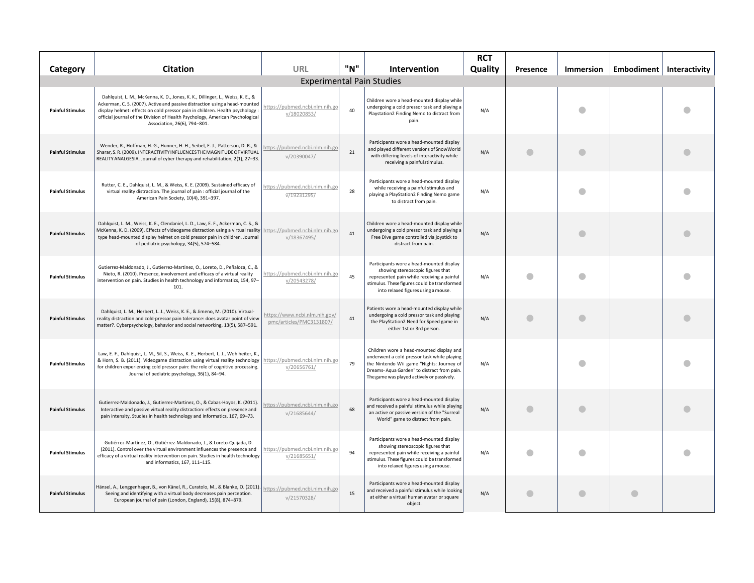| Category                         | <b>Citation</b>                                                                                                                                                                                                                                                                                                                                                 | URL                                                       | "N" | <b>Intervention</b>                                                                                                                                                                                                              | <b>RCT</b><br>Quality | Presence  | <b>Immersion</b> |           | Embodiment   Interactivity |
|----------------------------------|-----------------------------------------------------------------------------------------------------------------------------------------------------------------------------------------------------------------------------------------------------------------------------------------------------------------------------------------------------------------|-----------------------------------------------------------|-----|----------------------------------------------------------------------------------------------------------------------------------------------------------------------------------------------------------------------------------|-----------------------|-----------|------------------|-----------|----------------------------|
| <b>Experimental Pain Studies</b> |                                                                                                                                                                                                                                                                                                                                                                 |                                                           |     |                                                                                                                                                                                                                                  |                       |           |                  |           |                            |
| <b>Painful Stimulus</b>          | Dahlquist, L. M., McKenna, K. D., Jones, K. K., Dillinger, L., Weiss, K. E., &<br>Ackerman, C. S. (2007). Active and passive distraction using a head-mounted<br>display helmet: effects on cold pressor pain in children. Health psychology :<br>official journal of the Division of Health Psychology, American Psychological<br>Association, 26(6), 794-801. | nttps://pubmed.ncbi.nlm.nih.go<br>v/18020853/             | 40  | Children wore a head-mounted display while<br>undergoing a cold pressor task and playing a<br>Playstation2 Finding Nemo to distract from<br>pain.                                                                                | N/A                   |           |                  |           |                            |
| <b>Painful Stimulus</b>          | Wender, R., Hoffman, H. G., Hunner, H. H., Seibel, E. J., Patterson, D. R., &<br>Sharar, S. R. (2009). INTERACTIVITY INFLUENCES THE MAGNITUDE OF VIRTUAL<br>REALITY ANALGESIA. Journal of cyber therapy and rehabilitation, 2(1), 27-33.                                                                                                                        | ittps://pubmed.ncbi.nlm.nih.go<br>v/20390047/             | 21  | Participants wore a head-mounted display<br>and played different versions of SnowWorld<br>with differing levels of interactivity while<br>receiving a painful stimulus.                                                          | N/A                   |           |                  |           |                            |
| <b>Painful Stimulus</b>          | Rutter, C. E., Dahlquist, L. M., & Weiss, K. E. (2009). Sustained efficacy of<br>virtual reality distraction. The journal of pain : official journal of the<br>American Pain Society, 10(4), 391-397.                                                                                                                                                           | https://pubmed.ncbi.nlm.nih.go<br>v/19231295/             | 28  | Participants wore a head-mounted display<br>while receiving a painful stimulus and<br>playing a PlayStation2 Finding Nemo game<br>to distract from pain.                                                                         | N/A                   |           |                  |           |                            |
| <b>Painful Stimulus</b>          | Dahlquist, L. M., Weiss, K. E., Clendaniel, L. D., Law, E. F., Ackerman, C. S., &<br>McKenna, K. D. (2009). Effects of videogame distraction using a virtual reality https://pubmed.ncbi.nlm.nih.go<br>type head-mounted display helmet on cold pressor pain in children. Journal<br>of pediatric psychology, 34(5), 574-584.                                   | v/18367495/                                               | 41  | Children wore a head-mounted display while<br>undergoing a cold pressor task and playing a<br>Free Dive game controlled via joystick to<br>distract from pain.                                                                   | N/A                   |           |                  |           |                            |
| <b>Painful Stimulus</b>          | Gutierrez-Maldonado, J., Gutierrez-Martinez, O., Loreto, D., Peñaloza, C., &<br>Nieto, R. (2010). Presence, involvement and efficacy of a virtual reality<br>intervention on pain. Studies in health technology and informatics, 154, 97-<br>101.                                                                                                               | https://pubmed.ncbi.nlm.nih.go<br>v/20543278/             | 45  | Participants wore a head-mounted display<br>showing stereoscopic figures that<br>represented pain while receiving a painful<br>stimulus. These figures could be transformed<br>into relaxed figures using a mouse.               | N/A                   |           |                  |           |                            |
| <b>Painful Stimulus</b>          | Dahlquist, L. M., Herbert, L. J., Weiss, K. E., & Jimeno, M. (2010). Virtual-<br>reality distraction and cold-pressor pain tolerance: does avatar point of view<br>matter?. Cyberpsychology, behavior and social networking, 13(5), 587-591.                                                                                                                    | https://www.ncbi.nlm.nih.gov/<br>pmc/articles/PMC3131807/ | 41  | Patients wore a head-mounted display while<br>undergoing a cold pressor task and playing<br>the PlayStation2 Need for Speed game in<br>either 1st or 3rd person.                                                                 | N/A                   |           |                  |           |                            |
| <b>Painful Stimulus</b>          | Law, E. F., Dahlquist, L. M., Sil, S., Weiss, K. E., Herbert, L. J., Wohlheiter, K.,<br>& Horn, S. B. (2011). Videogame distraction using virtual reality technology<br>for children experiencing cold pressor pain: the role of cognitive processing.<br>Journal of pediatric psychology, 36(1), 84-94.                                                        | https://pubmed.ncbi.nlm.nih.go<br>v/20656761/             | 79  | Children wore a head-mounted display and<br>underwent a cold pressor task while playing<br>the Nintendo Wii game "Nights: Journey of<br>Dreams-Aqua Garden" to distract from pain.<br>The game was played actively or passively. | N/A                   |           |                  |           |                            |
| <b>Painful Stimulus</b>          | Gutierrez-Maldonado, J., Gutierrez-Martinez, O., & Cabas-Hoyos, K. (2011).<br>Interactive and passive virtual reality distraction: effects on presence and<br>pain intensity. Studies in health technology and informatics, 167, 69-73.                                                                                                                         | https://pubmed.ncbi.nlm.nih.go<br>v/21685644/             | 68  | Participants wore a head-mounted display<br>and received a painful stimulus while playing<br>an active or passive version of the "Surreal<br>World" game to distract from pain.                                                  | N/A                   |           |                  |           |                            |
| <b>Painful Stimulus</b>          | Gutiérrez-Martínez, O., Gutiérrez-Maldonado, J., & Loreto-Quijada, D.<br>(2011). Control over the virtual environment influences the presence and<br>efficacy of a virtual reality intervention on pain. Studies in health technology<br>and informatics, 167, 111-115.                                                                                         | https://pubmed.ncbi.nlm.nih.go<br>v/21685651/             | 94  | Participants wore a head-mounted display<br>showing stereoscopic figures that<br>represented pain while receiving a painful<br>stimulus. These figures could be transformed<br>into relaxed figures using a mouse.               | N/A                   |           |                  |           |                            |
| <b>Painful Stimulus</b>          | Hänsel, A., Lenggenhager, B., von Känel, R., Curatolo, M., & Blanke, O. (2011).<br>Seeing and identifying with a virtual body decreases pain perception.<br>European journal of pain (London, England), 15(8), 874-879.                                                                                                                                         | https://pubmed.ncbi.nlm.nih.go<br>v/21570328/             | 15  | Participants wore a head-mounted display<br>and received a painful stimulus while looking<br>at either a virtual human avatar or square<br>object.                                                                               | N/A                   | $\bullet$ | O                | $\bullet$ |                            |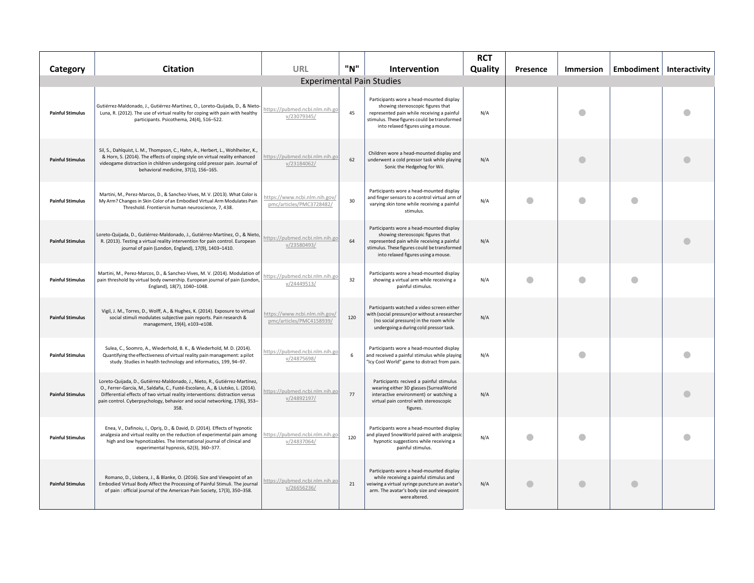| Category                         | <b>Citation</b>                                                                                                                                                                                                                                                                                                                     | URL                                                       | "N" | <b>Intervention</b>                                                                                                                                                                                                | <b>RCT</b><br>Quality | Presence | <b>Immersion</b> | Embodiment   Interactivity |
|----------------------------------|-------------------------------------------------------------------------------------------------------------------------------------------------------------------------------------------------------------------------------------------------------------------------------------------------------------------------------------|-----------------------------------------------------------|-----|--------------------------------------------------------------------------------------------------------------------------------------------------------------------------------------------------------------------|-----------------------|----------|------------------|----------------------------|
| <b>Experimental Pain Studies</b> |                                                                                                                                                                                                                                                                                                                                     |                                                           |     |                                                                                                                                                                                                                    |                       |          |                  |                            |
| <b>Painful Stimulus</b>          | Gutiérrez-Maldonado, J., Gutiérrez-Martínez, O., Loreto-Quijada, D., & Nieto<br>Luna, R. (2012). The use of virtual reality for coping with pain with healthy<br>participants. Psicothema, 24(4), 516-522.                                                                                                                          | https://pubmed.ncbi.nlm.nih.go<br>v/23079345/             | 45  | Participants wore a head-mounted display<br>showing stereoscopic figures that<br>represented pain while receiving a painful<br>stimulus. These figures could be transformed<br>into relaxed figures using a mouse. | N/A                   |          |                  |                            |
| <b>Painful Stimulus</b>          | Sil, S., Dahlquist, L. M., Thompson, C., Hahn, A., Herbert, L., Wohlheiter, K.,<br>& Horn, S. (2014). The effects of coping style on virtual reality enhanced<br>videogame distraction in children undergoing cold pressor pain. Journal of<br>behavioral medicine, 37(1), 156-165.                                                 | https://pubmed.ncbi.nlm.nih.go<br>v/23184062/             | 62  | Children wore a head-mounted display and<br>underwent a cold pressor task while playing<br>Sonic the Hedgehog for Wii.                                                                                             | N/A                   |          | a                |                            |
| <b>Painful Stimulus</b>          | Martini, M., Perez-Marcos, D., & Sanchez-Vives, M. V. (2013). What Color is<br>My Arm? Changes in Skin Color of an Embodied Virtual Arm Modulates Pain<br>Threshold. Frontiersin human neuroscience, 7, 438.                                                                                                                        | https://www.ncbi.nlm.nih.gov/<br>pmc/articles/PMC3728482/ | 30  | Participants wore a head-mounted display<br>and finger sensors to a control virtual arm of<br>varying skin tone while receiving a painful<br>stimulus.                                                             | N/A                   |          |                  |                            |
| <b>Painful Stimulus</b>          | Loreto-Quijada, D., Gutiérrez-Maldonado, J., Gutiérrez-Martínez, O., & Nieto<br>R. (2013). Testing a virtual reality intervention for pain control. European<br>journal of pain (London, England), 17(9), 1403-1410.                                                                                                                | ittps://pubmed.ncbi.nlm.nih.go<br>v/23580493/             | 64  | Participants wore a head-mounted display<br>showing stereoscopic figures that<br>represented pain while receiving a painful<br>stimulus. These figures could be transformed<br>into relaxed figures using a mouse. | N/A                   |          |                  |                            |
| <b>Painful Stimulus</b>          | Martini, M., Perez-Marcos, D., & Sanchez-Vives, M. V. (2014). Modulation of<br>pain threshold by virtual body ownership. European journal of pain (London,<br>England), 18(7), 1040-1048.                                                                                                                                           | https://pubmed.ncbi.nlm.nih.go<br>v/24449513/             | 32  | Participants wore a head-mounted display<br>showing a virtual arm while receiving a<br>painful stimulus.                                                                                                           | N/A                   |          |                  |                            |
| <b>Painful Stimulus</b>          | Vigil, J. M., Torres, D., Wolff, A., & Hughes, K. (2014). Exposure to virtual<br>social stimuli modulates subjective pain reports. Pain research &<br>management, 19(4), e103-e108.                                                                                                                                                 | https://www.ncbi.nlm.nih.gov/<br>pmc/articles/PMC4158939/ | 120 | Participants watched a video screen either<br>with (social pressure) or without a researcher<br>(no social pressure) in the room while<br>undergoing a during cold pressor task.                                   | N/A                   |          |                  |                            |
| <b>Painful Stimulus</b>          | Sulea, C., Soomro, A., Wiederhold, B. K., & Wiederhold, M. D. (2014).<br>Quantifying the effectiveness of virtual reality pain management: a pilot<br>study. Studies in health technology and informatics, 199, 94-97.                                                                                                              | https://pubmed.ncbi.nlm.nih.go<br>v/24875698/             | 6   | Participants wore a head-mounted display<br>and received a painful stimulus while playing<br>"Icy Cool World" game to distract from pain.                                                                          | N/A                   |          |                  |                            |
| <b>Painful Stimulus</b>          | Loreto-Quijada, D., Gutiérrez-Maldonado, J., Nieto, R., Gutiérrez-Martínez,<br>O., Ferrer-García, M., Saldaña, C., Fusté-Escolano, A., & Liutsko, L. (2014).<br>Differential effects of two virtual reality interventions: distraction versus<br>pain control. Cyberpsychology, behavior and social networking, 17(6), 353-<br>358. | nttps://pubmed.ncbi.nlm.nih.go<br>v/24892197/             | 77  | Participants recived a painful stimulus<br>wearing either 3D glasses (SurrealWorld<br>interactive environment) or watching a<br>virtual pain control with stereoscopic<br>figures.                                 | N/A                   |          |                  |                            |
| <b>Painful Stimulus</b>          | Enea, V., Dafinoiu, I., Opriș, D., & David, D. (2014). Effects of hypnotic<br>analgesia and virtual reality on the reduction of experimental pain among<br>high and low hypnotizables. The International journal of clinical and<br>experimental hypnosis, 62(3), 360-377.                                                          | https://pubmed.ncbi.nlm.nih.go<br>v/24837064/             | 120 | Participants wore a head-mounted display<br>and played SnowWorld paired with analgesic<br>hypnotic suggestions while receiving a<br>painful stimulus.                                                              | N/A                   |          |                  |                            |
| <b>Painful Stimulus</b>          | Romano, D., Llobera, J., & Blanke, O. (2016). Size and Viewpoint of an<br>Embodied Virtual Body Affect the Processing of Painful Stimuli. The journal<br>of pain : official journal of the American Pain Society, 17(3), 350-358.                                                                                                   | https://pubmed.ncbi.nlm.nih.go<br>v/26656236/             | 21  | Participants wore a head-mounted display<br>while receiving a painful stimulus and<br>veiwing a virtual syringe puncture an avatar's<br>arm. The avatar's body size and viewpoint<br>were altered.                 | N/A                   |          |                  |                            |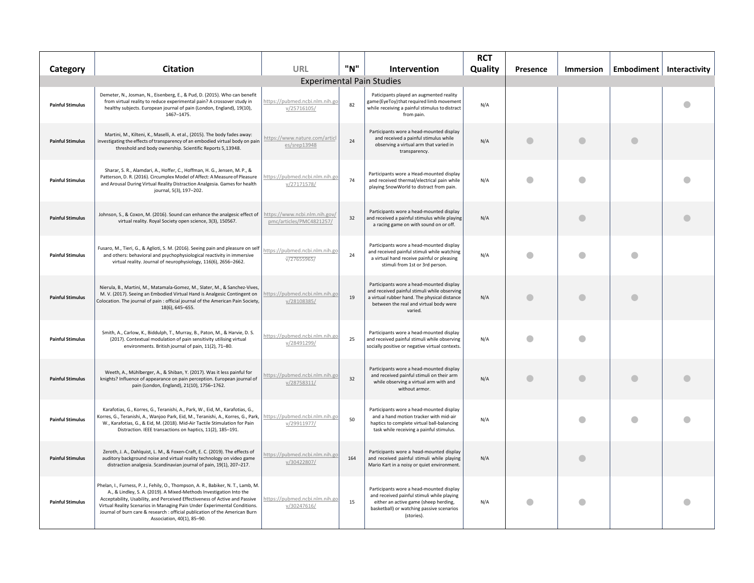| Category                         | <b>Citation</b>                                                                                                                                                                                                                                                                                                                                                                                                                   | <b>URL</b>                                                | "N" | <b>Intervention</b>                                                                                                                                                                           | <b>RCT</b><br>Quality | Presence   | <b>Immersion</b> |           | Embodiment   Interactivity |
|----------------------------------|-----------------------------------------------------------------------------------------------------------------------------------------------------------------------------------------------------------------------------------------------------------------------------------------------------------------------------------------------------------------------------------------------------------------------------------|-----------------------------------------------------------|-----|-----------------------------------------------------------------------------------------------------------------------------------------------------------------------------------------------|-----------------------|------------|------------------|-----------|----------------------------|
| <b>Experimental Pain Studies</b> |                                                                                                                                                                                                                                                                                                                                                                                                                                   |                                                           |     |                                                                                                                                                                                               |                       |            |                  |           |                            |
| <b>Painful Stimulus</b>          | Demeter, N., Josman, N., Eisenberg, E., & Pud, D. (2015). Who can benefit<br>from virtual reality to reduce experimental pain? A crossover study in<br>healthy subjects. European journal of pain (London, England), 19(10),<br>1467-1475.                                                                                                                                                                                        | https://pubmed.ncbi.nlm.nih.go<br>v/25716105/             | 82  | Paticipants played an augmented reality<br>game (EyeToy) that required limb movement<br>while receiving a painful stimulus to distract<br>from pain.                                          | N/A                   |            |                  |           |                            |
| <b>Painful Stimulus</b>          | Martini, M., Kilteni, K., Maselli, A. et al., (2015). The body fades away:<br>investigating the effects of transparency of an embodied virtual body on pain<br>threshold and body ownership. Scientific Reports 5,13948.                                                                                                                                                                                                          | https://www.nature.com/artic<br>es/srep13948              | 24  | Participants wore a head-mounted display<br>and received a painful stimulus while<br>observing a virtual arm that varied in<br>transparency.                                                  | N/A                   | $\bigcirc$ | a                | $\bullet$ |                            |
| <b>Painful Stimulus</b>          | Sharar, S. R., Alamdari, A., Hoffer, C., Hoffman, H. G., Jensen, M. P., &<br>Patterson, D. R. (2016). Circumplex Model of Affect: A Measure of Pleasure<br>and Arousal During Virtual Reality Distraction Analgesia. Games for health<br>journal, 5(3), 197-202.                                                                                                                                                                  | https://pubmed.ncbi.nlm.nih.go<br>v/27171578/             | 74  | Participants wore a Head-mounted display<br>and received thermal/electrical pain while<br>playing SnowWorld to distract from pain.                                                            | N/A                   |            |                  |           |                            |
| <b>Painful Stimulus</b>          | Johnson, S., & Coxon, M. (2016). Sound can enhance the analgesic effect of<br>virtual reality. Royal Society open science, 3(3), 150567.                                                                                                                                                                                                                                                                                          | https://www.ncbi.nlm.nih.gov/<br>pmc/articles/PMC4821257/ | 32  | Participants wore a head-mounted display<br>and received a painful stimulus while playing<br>a racing game on with sound on or off.                                                           | N/A                   |            | a                |           |                            |
| <b>Painful Stimulus</b>          | Fusaro, M., Tieri, G., & Aglioti, S. M. (2016). Seeing pain and pleasure on self<br>and others: behavioral and psychophysiological reactivity in immersive<br>virtual reality. Journal of neurophysiology, 116(6), 2656-2662.                                                                                                                                                                                                     | https://pubmed.ncbi.nlm.nih.go<br>v/27655965/             | 24  | Participants wore a head-mounted display<br>and received painful stimuli while watching<br>a virtual hand receive painful or pleasing<br>stimuli from 1st or 3rd person.                      | N/A                   | a          |                  | $\bullet$ |                            |
| <b>Painful Stimulus</b>          | Nierula, B., Martini, M., Matamala-Gomez, M., Slater, M., & Sanchez-Vives,<br>M. V. (2017). Seeing an Embodied Virtual Hand is Analgesic Contingent on<br>Colocation. The journal of pain : official journal of the American Pain Society,<br>18(6), 645-655.                                                                                                                                                                     | ittps://pubmed.ncbi.nlm.nih.go<br>v/28108385/             | 19  | Participants wore a head-mounted display<br>and received painful stimuli while observing<br>a virtual rubber hand. The physical distance<br>between the real and virtual body were<br>varied. | N/A                   |            |                  |           |                            |
| <b>Painful Stimulus</b>          | Smith, A., Carlow, K., Biddulph, T., Murray, B., Paton, M., & Harvie, D. S.<br>(2017). Contextual modulation of pain sensitivity utilising virtual<br>environments. British journal of pain, 11(2), 71-80.                                                                                                                                                                                                                        | https://pubmed.ncbi.nlm.nih.go<br>v/28491299/             | 25  | Participants wore a head-mounted display<br>and received painful stimuli while observing<br>socially positive or negative virtual contexts.                                                   | N/A                   |            |                  |           |                            |
| <b>Painful Stimulus</b>          | Weeth, A., Mühlberger, A., & Shiban, Y. (2017). Was it less painful for<br>knights? Influence of appearance on pain perception. European journal of<br>pain (London, England), 21(10), 1756-1762.                                                                                                                                                                                                                                 | https://pubmed.ncbi.nlm.nih.go<br>v/28758311/             | 32  | Participants wore a head-mounted display<br>and received painful stimuli on their arm<br>while observing a virtual arm with and<br>without armor.                                             | N/A                   |            |                  |           |                            |
| <b>Painful Stimulus</b>          | Karafotias, G., Korres, G., Teranishi, A., Park, W., Eid, M., Karafotias, G.,<br>Korres, G., Teranishi, A., Wanjoo Park, Eid, M., Teranishi, A., Korres, G., Park,<br>W., Karafotias, G., & Eid, M. (2018). Mid-Air Tactile Stimulation for Pain<br>Distraction. IEEE transactions on haptics, 11(2), 185-191.                                                                                                                    | https://pubmed.ncbi.nlm.nih.go<br>v/29911977/             | 50  | Participants wore a head-mounted display<br>and a hand motion tracker with mid-air<br>haptics to complete virtual ball-balancing<br>task while receiving a painful stimulus.                  | N/A                   |            |                  | O         |                            |
| <b>Painful Stimulus</b>          | Zeroth, J. A., Dahlquist, L. M., & Foxen-Craft, E. C. (2019). The effects of<br>auditory background noise and virtual reality technology on video game<br>distraction analgesia. Scandinavian journal of pain, 19(1), 207-217.                                                                                                                                                                                                    | https://pubmed.ncbi.nlm.nih.go<br>v/30422807/             | 164 | Participants wore a head-mounted display<br>and received painful stimuli while playing<br>Mario Kart in a noisy or quiet environment.                                                         | N/A                   |            | O                |           |                            |
| <b>Painful Stimulus</b>          | Phelan, I., Furness, P. J., Fehily, O., Thompson, A. R., Babiker, N. T., Lamb, M.<br>A., & Lindley, S. A. (2019). A Mixed-Methods Investigation Into the<br>Acceptability, Usability, and Perceived Effectiveness of Active and Passive<br>Virtual Reality Scenarios in Managing Pain Under Experimental Conditions.<br>Journal of burn care & research : official publication of the American Burn<br>Association, 40(1), 85-90. | https://pubmed.ncbi.nlm.nih.go<br>v/30247616/             | 15  | Participants wore a head-mounted display<br>and received painful stimuli while playing<br>either an active game (sheep herding,<br>basketball) or watching passive scenarios<br>(stories).    | N/A                   |            |                  |           |                            |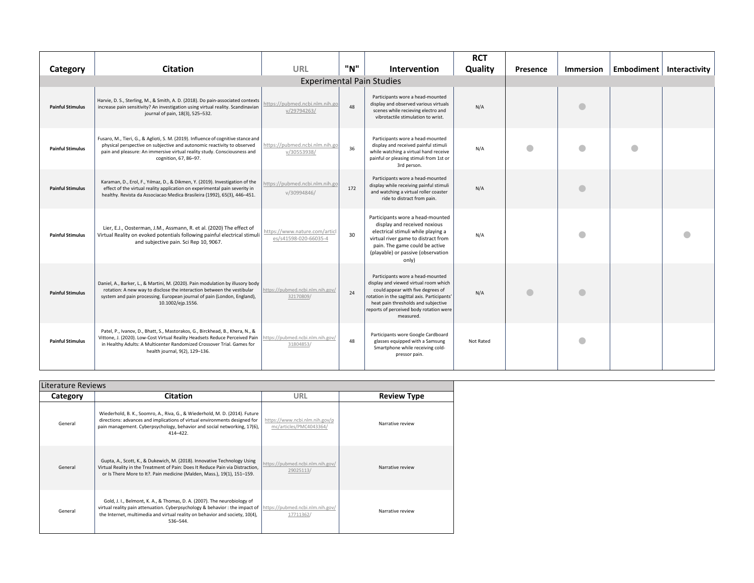|                         |                                                                                                                                                                                                                                                                          |                                                       |     |                                                                                                                                                                                                                                                               | <b>RCT</b> |           |           |   |                            |
|-------------------------|--------------------------------------------------------------------------------------------------------------------------------------------------------------------------------------------------------------------------------------------------------------------------|-------------------------------------------------------|-----|---------------------------------------------------------------------------------------------------------------------------------------------------------------------------------------------------------------------------------------------------------------|------------|-----------|-----------|---|----------------------------|
| Category                | <b>Citation</b>                                                                                                                                                                                                                                                          | URL                                                   | "N" | Intervention                                                                                                                                                                                                                                                  | Quality    | Presence  | Immersion |   | Embodiment   Interactivity |
|                         |                                                                                                                                                                                                                                                                          |                                                       |     | <b>Experimental Pain Studies</b>                                                                                                                                                                                                                              |            |           |           |   |                            |
| <b>Painful Stimulus</b> | Harvie, D. S., Sterling, M., & Smith, A. D. (2018). Do pain-associated contexts<br>increase pain sensitivity? An investigation using virtual reality. Scandinavian<br>journal of pain, 18(3), 525-532.                                                                   | https://pubmed.ncbi.nlm.nih.go<br>v/29794263/         | 48  | Participants wore a head-mounted<br>display and observed various virtuals<br>scenes while recieving electro and<br>vibrotactile stimulation to wrist.                                                                                                         | N/A        |           |           |   |                            |
| <b>Painful Stimulus</b> | Fusaro, M., Tieri, G., & Aglioti, S. M. (2019). Influence of cognitive stance and<br>physical perspective on subjective and autonomic reactivity to observed<br>pain and pleasure: An immersive virtual reality study. Consciousness and<br>cognition, 67, 86-97.        | https://pubmed.ncbi.nlm.nih.go<br>v/30553938/         | 36  | Participants wore a head-mounted<br>display and received painful stimuli<br>while watching a virtual hand receive<br>painful or pleasing stimuli from 1st or<br>3rd person.                                                                                   | N/A        | $\bullet$ |           | O |                            |
| <b>Painful Stimulus</b> | Karaman, D., Erol, F., Yılmaz, D., & Dikmen, Y. (2019). Investigation of the<br>effect of the virtual reality application on experimental pain severity in<br>healthy. Revista da Associacao Medica Brasileira (1992), 65(3), 446-451.                                   | nttps://pubmed.ncbi.nlm.nih.go<br>v/30994846/         | 172 | Participants wore a head-mounted<br>display while receiving painful stimuli<br>and watching a virtual roller coaster<br>ride to distract from pain.                                                                                                           | N/A        |           |           |   |                            |
| <b>Painful Stimulus</b> | Lier, E.J., Oosterman, J.M., Assmann, R. et al. (2020) The effect of<br>Virtual Reality on evoked potentials following painful electrical stimuli<br>and subjective pain. Sci Rep 10, 9067.                                                                              | https://www.nature.com/artic<br>es/s41598-020-66035-4 | 30  | Participants wore a head-mounted<br>display and received noxious<br>electrical stimuli while playing a<br>virtual river game to distract from<br>pain. The game could be active<br>(playable) or passive (observation<br>only)                                | N/A        |           |           |   |                            |
| <b>Painful Stimulus</b> | Daniel, A., Barker, L., & Martini, M. (2020). Pain modulation by illusory body<br>rotation: A new way to disclose the interaction between the vestibular<br>system and pain processing. European journal of pain (London, England),<br>10.1002/ejp.1556.                 | https://pubmed.ncbi.nlm.nih.gov/<br>32170809/         | 24  | Participants wore a head-mounted<br>display and viewed virtual room which<br>could appear with five degrees of<br>rotation in the sagittal axis. Participants'<br>heat pain thresholds and subjective<br>reports of perceived body rotation were<br>measured. | N/A        |           |           |   |                            |
| <b>Painful Stimulus</b> | Patel, P., Ivanov, D., Bhatt, S., Mastorakos, G., Birckhead, B., Khera, N., &<br>Vittone, J. (2020). Low-Cost Virtual Reality Headsets Reduce Perceived Pain<br>in Healthy Adults: A Multicenter Randomized Crossover Trial. Games for<br>health journal, 9(2), 129-136. | https://pubmed.ncbi.nlm.nih.gov/<br>31804853/         | 48  | Participants wore Google Cardboard<br>glasses equipped with a Samsung<br>Smartphone while receiving cold-<br>pressor pain.                                                                                                                                    | Not Rated  |           |           |   |                            |

| Literature Reviews |                                                                                                                                                                                                                                                                                      |                                                           |                    |  |  |  |
|--------------------|--------------------------------------------------------------------------------------------------------------------------------------------------------------------------------------------------------------------------------------------------------------------------------------|-----------------------------------------------------------|--------------------|--|--|--|
| Category           | <b>Citation</b>                                                                                                                                                                                                                                                                      | URL                                                       | <b>Review Type</b> |  |  |  |
| General            | Wiederhold, B. K., Soomro, A., Riva, G., & Wiederhold, M. D. (2014). Future<br>directions: advances and implications of virtual environments designed for<br>pain management. Cyberpsychology, behavior and social networking, 17(6),<br>$414 - 422$ .                               | https://www.ncbi.nlm.nih.gov/p<br>mc/articles/PMC4043364/ | Narrative review   |  |  |  |
| General            | Gupta, A., Scott, K., & Dukewich, M. (2018). Innovative Technology Using<br>Virtual Reality in the Treatment of Pain: Does It Reduce Pain via Distraction,<br>or Is There More to It?. Pain medicine (Malden, Mass.), 19(1), 151-159.                                                | https://pubmed.ncbi.nlm.nih.gov/<br>29025113/             | Narrative review   |  |  |  |
| General            | Gold, J. I., Belmont, K. A., & Thomas, D. A. (2007). The neurobiology of<br>virtual reality pain attenuation. Cyberpsychology & behavior : the impact of https://pubmed.ncbi.nlm.nih.gov/<br>the Internet, multimedia and virtual reality on behavior and society, 10(4),<br>536-544 | 17711362/                                                 | Narrative review   |  |  |  |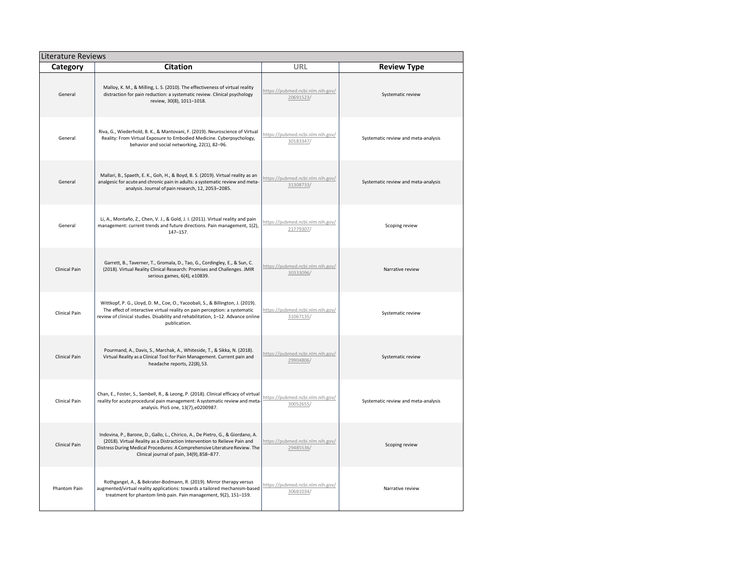|                      | <b>Literature Reviews</b>                                                                                                                                                                                                                                                               |                                               |                                     |  |  |  |  |  |
|----------------------|-----------------------------------------------------------------------------------------------------------------------------------------------------------------------------------------------------------------------------------------------------------------------------------------|-----------------------------------------------|-------------------------------------|--|--|--|--|--|
| Category             | <b>Citation</b>                                                                                                                                                                                                                                                                         | URL                                           | <b>Review Type</b>                  |  |  |  |  |  |
| General              | Malloy, K. M., & Milling, L. S. (2010). The effectiveness of virtual reality<br>distraction for pain reduction: a systematic review. Clinical psychology<br>review, 30(8), 1011-1018.                                                                                                   | https://pubmed.ncbi.nlm.nih.gov/<br>20691523/ | Systematic review                   |  |  |  |  |  |
| General              | Riva, G., Wiederhold, B. K., & Mantovani, F. (2019). Neuroscience of Virtual<br>Reality: From Virtual Exposure to Embodied Medicine. Cyberpsychology,<br>behavior and social networking, 22(1), 82-96.                                                                                  | https://pubmed.ncbi.nlm.nih.gov/<br>30183347/ | Systematic review and meta-analysis |  |  |  |  |  |
| General              | Mallari, B., Spaeth, E. K., Goh, H., & Boyd, B. S. (2019). Virtual reality as an<br>analgesic for acute and chronic pain in adults: a systematic review and meta-<br>analysis. Journal of pain research, 12, 2053-2085.                                                                 | https://pubmed.ncbi.nlm.nih.gov/<br>31308733/ | Systematic review and meta-analysis |  |  |  |  |  |
| General              | Li, A., Montaño, Z., Chen, V. J., & Gold, J. I. (2011). Virtual reality and pain<br>management: current trends and future directions. Pain management, 1(2),<br>$147 - 157.$                                                                                                            | https://pubmed.ncbi.nlm.nih.gov/<br>21779307/ | Scoping review                      |  |  |  |  |  |
| <b>Clinical Pain</b> | Garrett, B., Taverner, T., Gromala, D., Tao, G., Cordingley, E., & Sun, C.<br>(2018). Virtual Reality Clinical Research: Promises and Challenges. JMIR<br>serious games, 6(4), e10839.                                                                                                  | https://pubmed.ncbi.nlm.nih.gov/<br>30333096/ | Narrative review                    |  |  |  |  |  |
| Clinical Pain        | Wittkopf, P. G., Lloyd, D. M., Coe, O., Yacoobali, S., & Billington, J. (2019).<br>The effect of interactive virtual reality on pain perception: a systematic<br>review of clinical studies. Disability and rehabilitation, 1-12. Advance online<br>publication.                        | https://pubmed.ncbi.nlm.nih.gov/<br>31067135/ | Systematic review                   |  |  |  |  |  |
| Clinical Pain        | Pourmand, A., Davis, S., Marchak, A., Whiteside, T., & Sikka, N. (2018).<br>Virtual Reality as a Clinical Tool for Pain Management. Current pain and<br>headache reports, 22(8), 53.                                                                                                    | https://pubmed.ncbi.nlm.nih.gov/<br>29904806/ | Systematic review                   |  |  |  |  |  |
| Clinical Pain        | Chan, E., Foster, S., Sambell, R., & Leong, P. (2018). Clinical efficacy of virtual<br>reality for acute procedural pain management: A systematic review and meta-<br>analysis. PloS one, 13(7), e0200987.                                                                              | https://pubmed.ncbi.nlm.nih.gov/<br>30052655/ | Systematic review and meta-analysis |  |  |  |  |  |
| Clinical Pain        | Indovina, P., Barone, D., Gallo, L., Chirico, A., De Pietro, G., & Giordano, A.<br>(2018). Virtual Reality as a Distraction Intervention to Relieve Pain and<br>Distress During Medical Procedures: A Comprehensive Literature Review. The<br>Clinical journal of pain, 34(9), 858-877. | https://pubmed.ncbi.nlm.nih.gov/<br>29485536/ | Scoping review                      |  |  |  |  |  |
| Phantom Pain         | Rothgangel, A., & Bekrater-Bodmann, R. (2019). Mirror therapy versus<br>augmented/virtual reality applications: towards a tailored mechanism-based<br>treatment for phantom limb pain. Pain management, 9(2), 151-159.                                                                  | https://pubmed.ncbi.nlm.nih.gov/<br>30681034/ | Narrative review                    |  |  |  |  |  |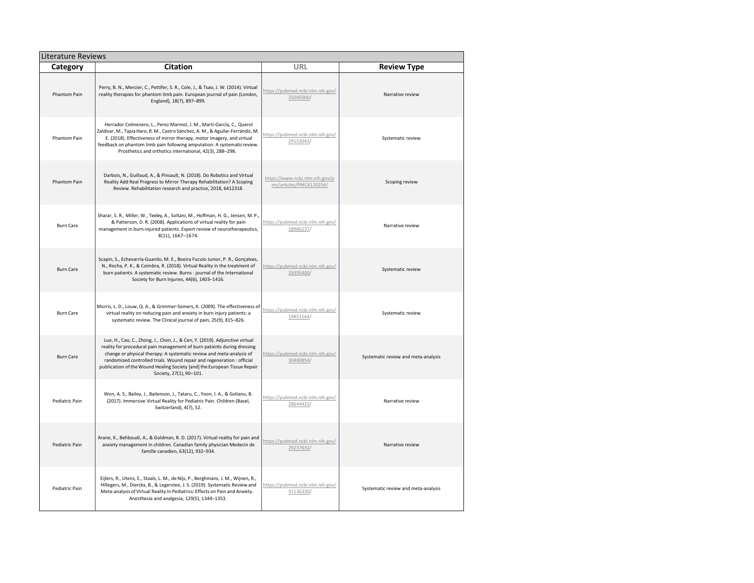| <b>Literature Reviews</b> |                                                                                                                                                                                                                                                                                                                                                                                                                  |                                                           |                                     |  |  |  |  |
|---------------------------|------------------------------------------------------------------------------------------------------------------------------------------------------------------------------------------------------------------------------------------------------------------------------------------------------------------------------------------------------------------------------------------------------------------|-----------------------------------------------------------|-------------------------------------|--|--|--|--|
| Category                  | <b>Citation</b>                                                                                                                                                                                                                                                                                                                                                                                                  | URL                                                       | <b>Review Type</b>                  |  |  |  |  |
| Phantom Pain              | Perry, B. N., Mercier, C., Pettifer, S. R., Cole, J., & Tsao, J. W. (2014). Virtual<br>reality therapies for phantom limb pain. European journal of pain (London,<br>England), 18(7), 897-899.                                                                                                                                                                                                                   | https://pubmed.ncbi.nlm.nih.gov/<br>25045000/             | Narrative review                    |  |  |  |  |
| Phantom Pain              | Herrador Colmenero, L., Perez Marmol, J. M., Martí-García, C., Querol<br>Zaldivar, M., Tapia Haro, R. M., Castro Sánchez, A. M., & Aguilar-Ferrándiz, M.<br>E. (2018). Effectiveness of mirror therapy, motor imagery, and virtual<br>feedback on phantom limb pain following amputation: A systematic review.<br>Prosthetics and orthotics international, 42(3), 288-298.                                       | https://pubmed.ncbi.nlm.nih.gov/<br>29153043/             | Systematic review                   |  |  |  |  |
| <b>Phantom Pain</b>       | Darbois, N., Guillaud, A., & Pinsault, N. (2018). Do Robotics and Virtual<br>Reality Add Real Progress to Mirror Therapy Rehabilitation? A Scoping<br>Review. Rehabilitation research and practice, 2018, 6412318.                                                                                                                                                                                               | https://www.ncbi.nlm.nih.gov/p<br>mc/articles/PMC6120256/ | Scoping review                      |  |  |  |  |
| <b>Burn Care</b>          | Sharar, S. R., Miller, W., Teeley, A., Soltani, M., Hoffman, H. G., Jensen, M. P.,<br>& Patterson, D. R. (2008). Applications of virtual reality for pain<br>management in burn-injured patients. Expert review of neurotherapeutics,<br>8(11), 1667-1674.                                                                                                                                                       | https://pubmed.ncbi.nlm.nih.gov/<br>18986237/             | Narrative review                    |  |  |  |  |
| <b>Burn Care</b>          | Scapin, S., Echevarría-Guanilo, M. E., Boeira Fuculo Junior, P. R., Gonçalves,<br>N., Rocha, P. K., & Coimbra, R. (2018). Virtual Reality in the treatment of<br>burn patients: A systematic review. Burns : journal of the International<br>Society for Burn Injuries, 44(6), 1403-1416.                                                                                                                        | https://pubmed.ncbi.nlm.nih.gov/<br>29395400/             | Systematic review                   |  |  |  |  |
| <b>Burn Care</b>          | Morris, L. D., Louw, Q. A., & Grimmer-Somers, K. (2009). The effectiveness of<br>virtual reality on reducing pain and anxiety in burn injury patients: a<br>systematic review. The Clinical journal of pain, 25(9), 815-826.                                                                                                                                                                                     | https://pubmed.ncbi.nlm.nih.gov/<br>19851164/             | Systematic review                   |  |  |  |  |
| <b>Burn Care</b>          | Luo, H., Cao, C., Zhong, J., Chen, J., & Cen, Y. (2019). Adjunctive virtual<br>reality for procedural pain management of burn patients during dressing<br>change or physical therapy: A systematic review and meta-analysis of<br>randomized controlled trials. Wound repair and regeneration : official<br>publication of the Wound Healing Society [and] the European Tissue Repair<br>Society, 27(1), 90-101. | https://pubmed.ncbi.nlm.nih.gov/<br>30480854/             | Systematic review and meta-analysis |  |  |  |  |
| Pediatric Pain            | Won, A. S., Bailey, J., Bailenson, J., Tataru, C., Yoon, I. A., & Golianu, B.<br>(2017). Immersive Virtual Reality for Pediatric Pain. Children (Basel,<br>Switzerland), 4(7), 52.                                                                                                                                                                                                                               | https://pubmed.ncbi.nlm.nih.gov/<br>28644422/             | Narrative review                    |  |  |  |  |
| Pediatric Pain            | Arane, K., Behboudi, A., & Goldman, R. D. (2017). Virtual reality for pain and<br>anxiety management in children. Canadian family physician Medecin de<br>famille canadien, 63(12), 932-934.                                                                                                                                                                                                                     | https://pubmed.ncbi.nlm.nih.gov/<br>29237632/             | Narrative review                    |  |  |  |  |
| Pediatric Pain            | Eijlers, R., Utens, E., Staals, L. M., de Nijs, P., Berghmans, J. M., Wijnen, R.,<br>Hillegers, M., Dierckx, B., & Legerstee, J. S. (2019). Systematic Review and<br>Meta-analysis of Virtual Reality in Pediatrics: Effects on Pain and Anxiety.<br>Anesthesia and analgesia, 129(5), 1344-1353.                                                                                                                | https://pubmed.ncbi.nlm.nih.gov/<br>31136330/             | Systematic review and meta-analysis |  |  |  |  |